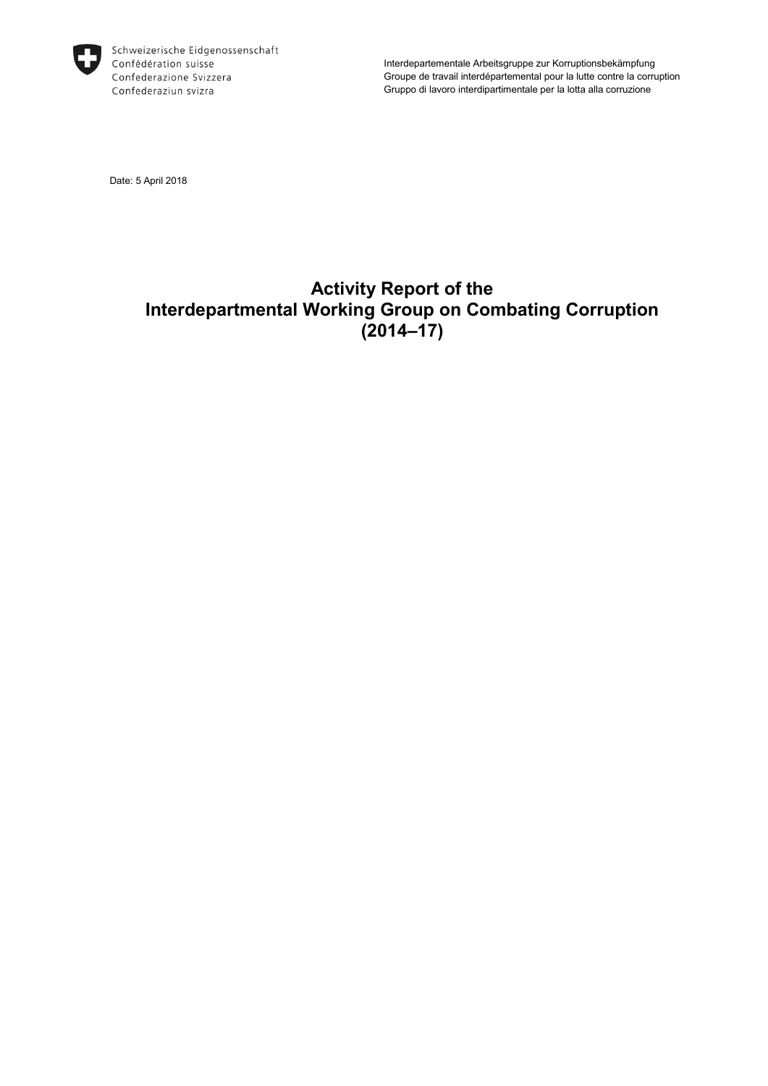

Schweizerische Eidgenossenschaft Confédération suisse Confederazione Svizzera Confederaziun svizra

Interdepartementale Arbeitsgruppe zur Korruptionsbekämpfung Groupe de travail interdépartemental pour la lutte contre la corruption Gruppo di lavoro interdipartimentale per la lotta alla corruzione

Date: 5 April 2018

# **Activity Report of the Interdepartmental Working Group on Combating Corruption (2014–17)**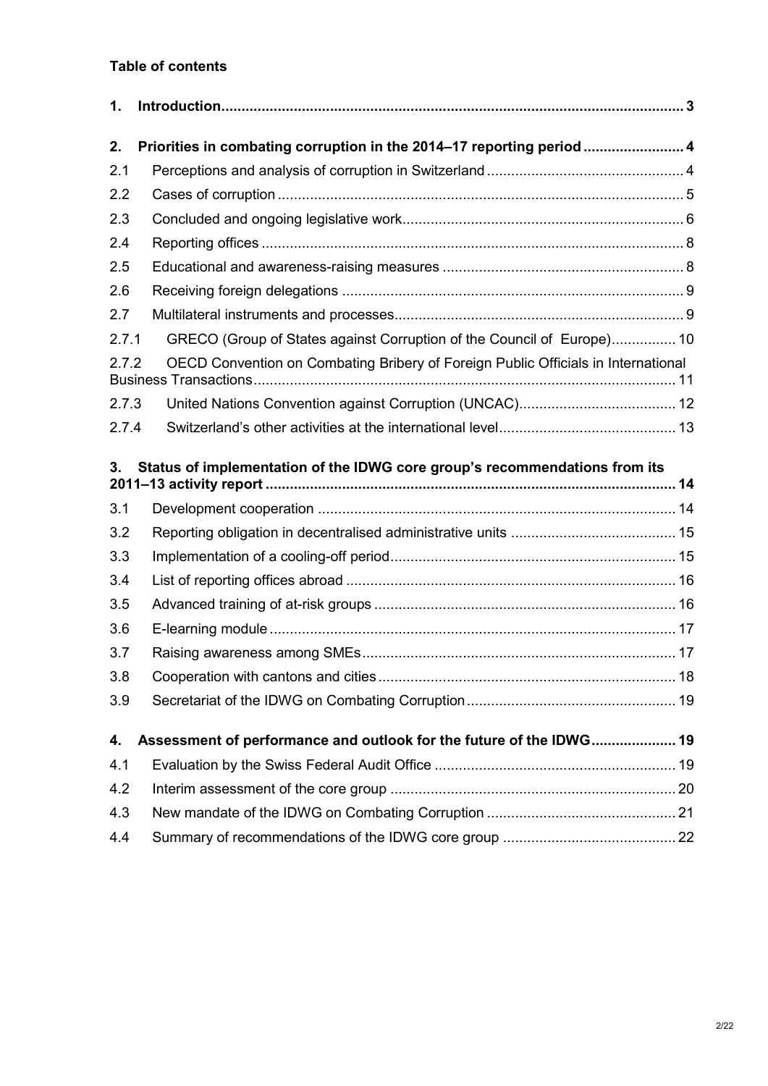## **Table of contents**

| $\mathbf{1}$ . |                                                                                   |  |
|----------------|-----------------------------------------------------------------------------------|--|
| 2.             | Priorities in combating corruption in the 2014-17 reporting period  4             |  |
| 2.1            |                                                                                   |  |
| 2.2            |                                                                                   |  |
| 2.3            |                                                                                   |  |
| 2.4            |                                                                                   |  |
| 2.5            |                                                                                   |  |
| 2.6            |                                                                                   |  |
| 2.7            |                                                                                   |  |
| 2.7.1          | GRECO (Group of States against Corruption of the Council of Europe) 10            |  |
| 2.7.2          | OECD Convention on Combating Bribery of Foreign Public Officials in International |  |
| 2.7.3          |                                                                                   |  |
| 2.7.4          |                                                                                   |  |
| 3.             | Status of implementation of the IDWG core group's recommendations from its        |  |
| 3.1            |                                                                                   |  |
| 3.2            |                                                                                   |  |
| 3.3            |                                                                                   |  |
| 3.4            |                                                                                   |  |
| 3.5            |                                                                                   |  |
| 3.6            |                                                                                   |  |
| 3.7            |                                                                                   |  |
| 3.8            |                                                                                   |  |
| 3.9            |                                                                                   |  |
| 4.             | Assessment of performance and outlook for the future of the IDWG 19               |  |
| 4.1            |                                                                                   |  |
| 4.2            |                                                                                   |  |
| 4.3            |                                                                                   |  |
| 4.4            |                                                                                   |  |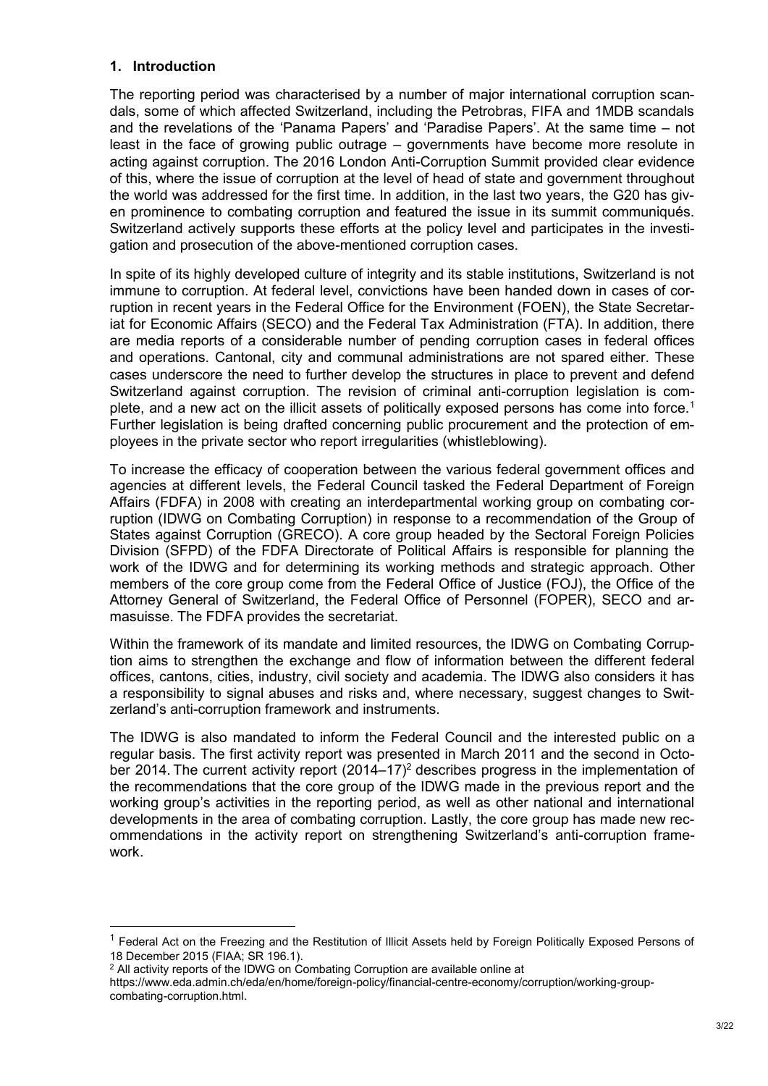## <span id="page-2-0"></span>**1. Introduction**

The reporting period was characterised by a number of major international corruption scandals, some of which affected Switzerland, including the Petrobras, FIFA and 1MDB scandals and the revelations of the 'Panama Papers' and 'Paradise Papers'. At the same time – not least in the face of growing public outrage – governments have become more resolute in acting against corruption. The 2016 London Anti-Corruption Summit provided clear evidence of this, where the issue of corruption at the level of head of state and government throughout the world was addressed for the first time. In addition, in the last two years, the G20 has given prominence to combating corruption and featured the issue in its summit communiqués. Switzerland actively supports these efforts at the policy level and participates in the investigation and prosecution of the above-mentioned corruption cases.

In spite of its highly developed culture of integrity and its stable institutions, Switzerland is not immune to corruption. At federal level, convictions have been handed down in cases of corruption in recent years in the Federal Office for the Environment (FOEN), the State Secretariat for Economic Affairs (SECO) and the Federal Tax Administration (FTA). In addition, there are media reports of a considerable number of pending corruption cases in federal offices and operations. Cantonal, city and communal administrations are not spared either. These cases underscore the need to further develop the structures in place to prevent and defend Switzerland against corruption. The revision of criminal anti-corruption legislation is complete, and a new act on the illicit assets of politically exposed persons has come into force.<sup>1</sup> Further legislation is being drafted concerning public procurement and the protection of employees in the private sector who report irregularities (whistleblowing).

To increase the efficacy of cooperation between the various federal government offices and agencies at different levels, the Federal Council tasked the Federal Department of Foreign Affairs (FDFA) in 2008 with creating an interdepartmental working group on combating corruption (IDWG on Combating Corruption) in response to a recommendation of the Group of States against Corruption (GRECO). A core group headed by the Sectoral Foreign Policies Division (SFPD) of the FDFA Directorate of Political Affairs is responsible for planning the work of the IDWG and for determining its working methods and strategic approach. Other members of the core group come from the Federal Office of Justice (FOJ), the Office of the Attorney General of Switzerland, the Federal Office of Personnel (FOPER), SECO and armasuisse. The FDFA provides the secretariat.

Within the framework of its mandate and limited resources, the IDWG on Combating Corruption aims to strengthen the exchange and flow of information between the different federal offices, cantons, cities, industry, civil society and academia. The IDWG also considers it has a responsibility to signal abuses and risks and, where necessary, suggest changes to Switzerland's anti-corruption framework and instruments.

The IDWG is also mandated to inform the Federal Council and the interested public on a regular basis. The first activity report was presented in March 2011 and the second in October 2014. The current activity report  $(2014-17)^2$  describes progress in the implementation of the recommendations that the core group of the IDWG made in the previous report and the working group's activities in the reporting period, as well as other national and international developments in the area of combating corruption. Lastly, the core group has made new recommendations in the activity report on strengthening Switzerland's anti-corruption framework.

1

<sup>&</sup>lt;sup>1</sup> Federal Act on the Freezing and the Restitution of Illicit Assets held by Foreign Politically Exposed Persons of 18 December 2015 (FIAA; SR 196.1).

<sup>&</sup>lt;sup>2</sup> All activity reports of the IDWG on Combating Corruption are available online at

[https://www.eda.admin.ch/eda/en/home/foreign-policy/financial-centre-economy/corruption/working-group](https://www.eda.admin.ch/eda/en/home/foreign-policy/financial-centre-economy/corruption/working-group-combating-corruption.html)[combating-corruption.html.](https://www.eda.admin.ch/eda/en/home/foreign-policy/financial-centre-economy/corruption/working-group-combating-corruption.html)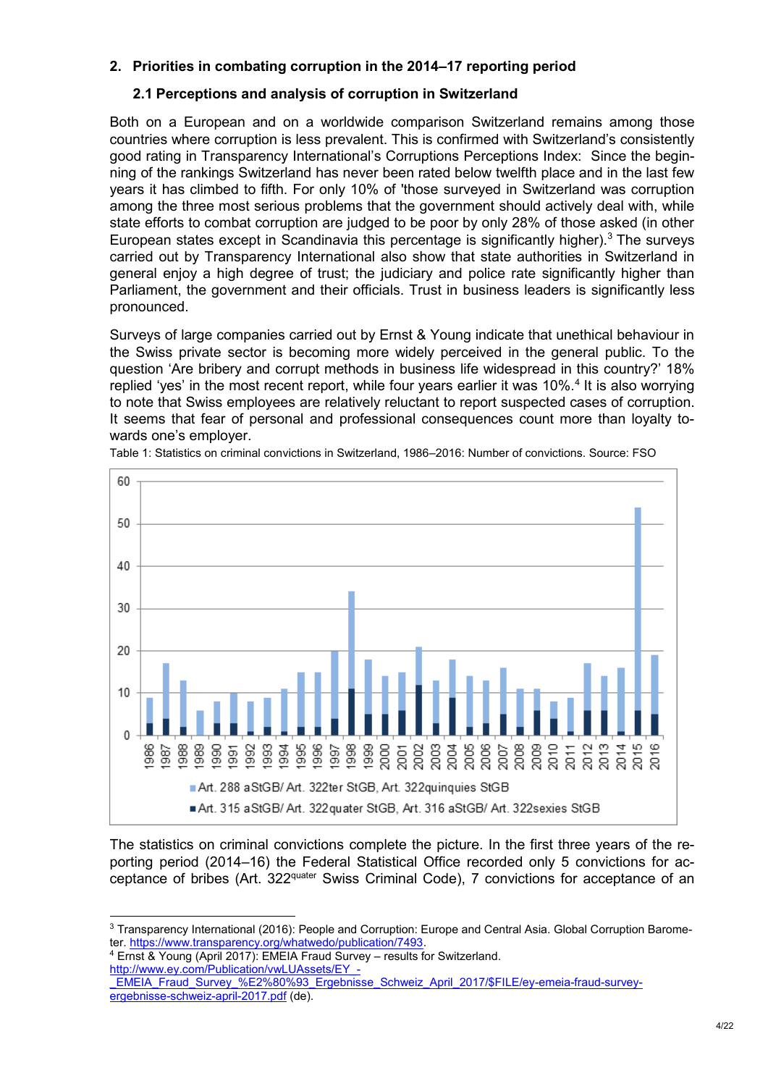## <span id="page-3-0"></span>**2. Priorities in combating corruption in the 2014–17 reporting period**

## <span id="page-3-1"></span>**2.1 Perceptions and analysis of corruption in Switzerland**

Both on a European and on a worldwide comparison Switzerland remains among those countries where corruption is less prevalent. This is confirmed with Switzerland's consistently good rating in Transparency International's Corruptions Perceptions Index: Since the beginning of the rankings Switzerland has never been rated below twelfth place and in the last few years it has climbed to fifth. For only 10% of 'those surveyed in Switzerland was corruption among the three most serious problems that the government should actively deal with, while state efforts to combat corruption are judged to be poor by only 28% of those asked (in other European states except in Scandinavia this percentage is significantly higher).<sup>3</sup> The surveys carried out by Transparency International also show that state authorities in Switzerland in general enjoy a high degree of trust; the judiciary and police rate significantly higher than Parliament, the government and their officials. Trust in business leaders is significantly less pronounced.

Surveys of large companies carried out by Ernst & Young indicate that unethical behaviour in the Swiss private sector is becoming more widely perceived in the general public. To the question 'Are bribery and corrupt methods in business life widespread in this country?' 18% replied 'yes' in the most recent report, while four years earlier it was 10%.<sup>4</sup> It is also worrying to note that Swiss employees are relatively reluctant to report suspected cases of corruption. It seems that fear of personal and professional consequences count more than loyalty towards one's employer.



Table 1: Statistics on criminal convictions in Switzerland, 1986–2016: Number of convictions. Source: FSO

The statistics on criminal convictions complete the picture. In the first three years of the reporting period (2014–16) the Federal Statistical Office recorded only 5 convictions for acceptance of bribes (Art. 322<sup>quater</sup> Swiss Criminal Code), 7 convictions for acceptance of an

<sup>4</sup> Ernst & Young (April 2017): EMEIA Fraud Survey – results for Switzerland. [http://www.ey.com/Publication/vwLUAssets/EY\\_-](http://www.ey.com/Publication/vwLUAssets/EY_-_EMEIA_Fraud_Survey_–_Ergebnisse_Schweiz_April_2017/$FILE/ey-emeia-fraud-survey-ergebnisse-schweiz-april-2017.pdf)

<sup>1</sup> <sup>3</sup> Transparency International (2016): People and Corruption: Europe and Central Asia. Global Corruption Barometer[. https://www.transparency.org/whatwedo/publication/7493.](https://www.transparency.org/whatwedo/publication/7493)

EMEIA\_Fraud\_Survey\_%E2%80%93\_Ergebnisse\_Schweiz\_April\_2017/\$FILE/ey-emeia-fraud-survey[ergebnisse-schweiz-april-2017.pdf](http://www.ey.com/Publication/vwLUAssets/EY_-_EMEIA_Fraud_Survey_–_Ergebnisse_Schweiz_April_2017/$FILE/ey-emeia-fraud-survey-ergebnisse-schweiz-april-2017.pdf) (de).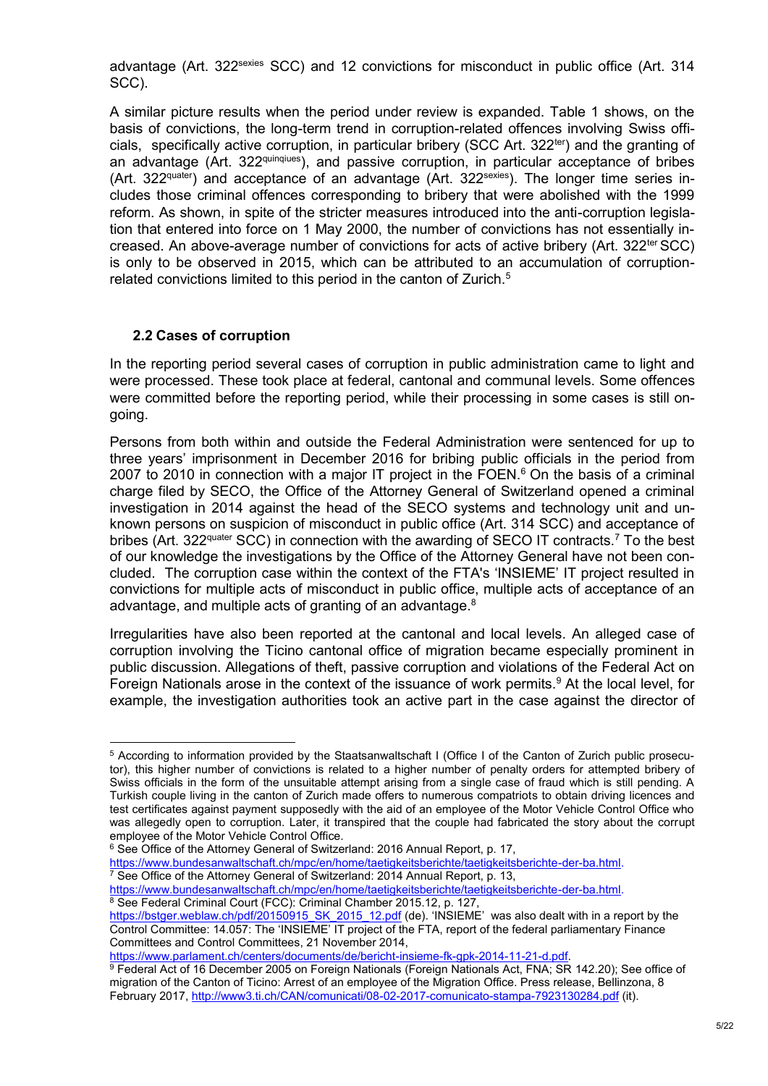advantage (Art. 322<sup>sexies</sup> SCC) and 12 convictions for misconduct in public office (Art. 314 SCC).

A similar picture results when the period under review is expanded. Table 1 shows, on the basis of convictions, the long-term trend in corruption-related offences involving Swiss officials, specifically active corruption, in particular bribery (SCC Art. 322<sup>ter</sup>) and the granting of an advantage (Art. 322<sup>quinqiues</sup>), and passive corruption, in particular acceptance of bribes (Art. 322<sup>quater</sup>) and acceptance of an advantage (Art. 322<sup>sexies</sup>). The longer time series includes those criminal offences corresponding to bribery that were abolished with the 1999 reform. As shown, in spite of the stricter measures introduced into the anti-corruption legislation that entered into force on 1 May 2000, the number of convictions has not essentially increased. An above-average number of convictions for acts of active bribery (Art. 322<sup>ter</sup> SCC) is only to be observed in 2015, which can be attributed to an accumulation of corruptionrelated convictions limited to this period in the canton of Zurich.<sup>5</sup>

## <span id="page-4-0"></span>**2.2 Cases of corruption**

In the reporting period several cases of corruption in public administration came to light and were processed. These took place at federal, cantonal and communal levels. Some offences were committed before the reporting period, while their processing in some cases is still ongoing.

Persons from both within and outside the Federal Administration were sentenced for up to three years' imprisonment in December 2016 for bribing public officials in the period from 2007 to 2010 in connection with a major IT project in the FOEN. $6$  On the basis of a criminal charge filed by SECO, the Office of the Attorney General of Switzerland opened a criminal investigation in 2014 against the head of the SECO systems and technology unit and unknown persons on suspicion of misconduct in public office (Art. 314 SCC) and acceptance of bribes (Art. 322<sup>quater</sup> SCC) in connection with the awarding of SECO IT contracts.<sup>7</sup> To the best of our knowledge the investigations by the Office of the Attorney General have not been concluded. The corruption case within the context of the FTA's 'INSIEME' IT project resulted in convictions for multiple acts of misconduct in public office, multiple acts of acceptance of an advantage, and multiple acts of granting of an advantage.<sup>8</sup>

Irregularities have also been reported at the cantonal and local levels. An alleged case of corruption involving the Ticino cantonal office of migration became especially prominent in public discussion. Allegations of theft, passive corruption and violations of the Federal Act on Foreign Nationals arose in the context of the issuance of work permits.<sup>9</sup> At the local level, for example, the investigation authorities took an active part in the case against the director of

<https://www.bundesanwaltschaft.ch/mpc/en/home/taetigkeitsberichte/taetigkeitsberichte-der-ba.html.> <sup>8</sup> See Federal Criminal Court (FCC): Criminal Chamber 2015.12, p. 127,

<sup>-</sup><sup>5</sup> According to information provided by the Staatsanwaltschaft I (Office I of the Canton of Zurich public prosecutor), this higher number of convictions is related to a higher number of penalty orders for attempted bribery of Swiss officials in the form of the unsuitable attempt arising from a single case of fraud which is still pending. A Turkish couple living in the canton of Zurich made offers to numerous compatriots to obtain driving licences and test certificates against payment supposedly with the aid of an employee of the Motor Vehicle Control Office who was allegedly open to corruption. Later, it transpired that the couple had fabricated the story about the corrupt employee of the Motor Vehicle Control Office.

<sup>&</sup>lt;sup>6</sup> See Office of the Attorney General of Switzerland: 2016 Annual Report, p. 17,

<https://www.bundesanwaltschaft.ch/mpc/en/home/taetigkeitsberichte/taetigkeitsberichte-der-ba.html.>  $\frac{7}{7}$  See Office of the Attorney General of Switzerland: 2014 Annual Report, p. 13,

[https://bstger.weblaw.ch/pdf/20150915\\_SK\\_2015\\_12.pdf](https://bstger.weblaw.ch/pdf/20150915_SK_2015_12.pdf) (de). 'INSIEME' was also dealt with in a report by the Control Committee: 14.057: The 'INSIEME' IT project of the FTA, report of the federal parliamentary Finance Committees and Control Committees, 21 November 2014,

[https://www.parlament.ch/centers/documents/de/bericht-insieme-fk-gpk-2014-11-21-d.pdf.](https://www.parlament.ch/centers/documents/de/bericht-insieme-fk-gpk-2014-11-21-d.pdf)

<sup>9</sup> Federal Act of 16 December 2005 on Foreign Nationals (Foreign Nationals Act, FNA; SR 142.20); See office of migration of the Canton of Ticino: Arrest of an employee of the Migration Office. Press release, Bellinzona, 8 February 2017[, http://www3.ti.ch/CAN/comunicati/08-02-2017-comunicato-stampa-7923130284.pdf](http://www3.ti.ch/CAN/comunicati/08-02-2017-comunicato-stampa-7923130284.pdf) (it).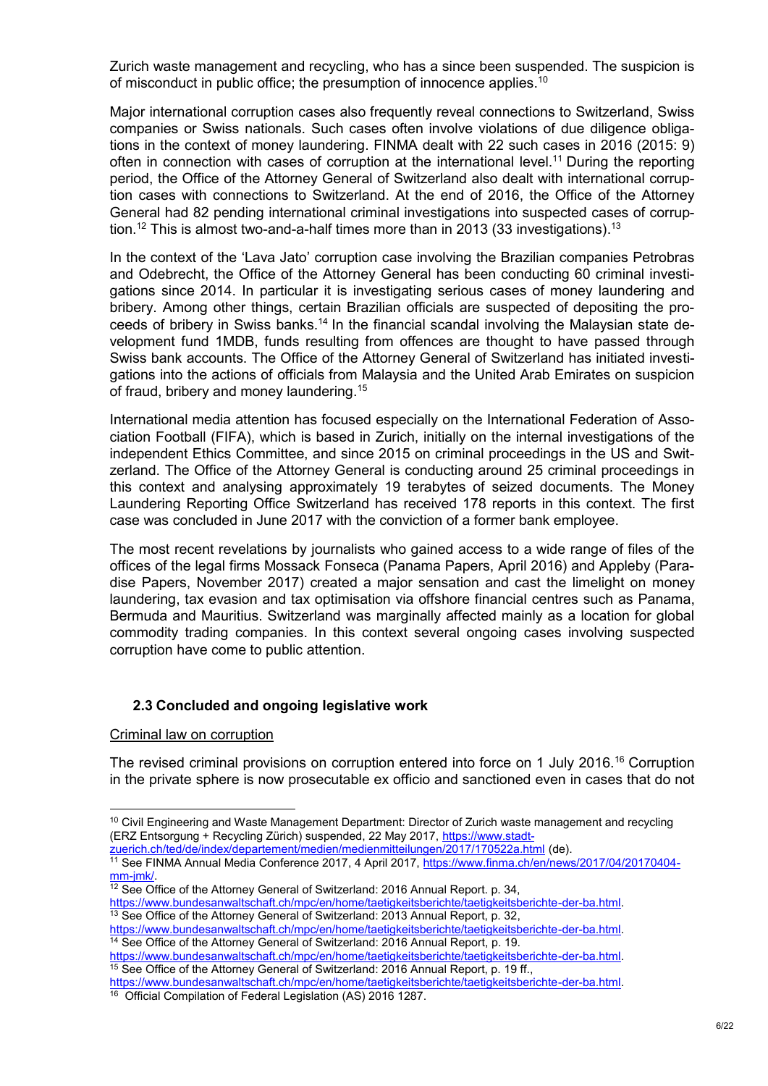Zurich waste management and recycling, who has a since been suspended. The suspicion is of misconduct in public office; the presumption of innocence applies.<sup>10</sup>

Major international corruption cases also frequently reveal connections to Switzerland, Swiss companies or Swiss nationals. Such cases often involve violations of due diligence obligations in the context of money laundering. FINMA dealt with 22 such cases in 2016 (2015: 9) often in connection with cases of corruption at the international level.<sup>11</sup> During the reporting period, the Office of the Attorney General of Switzerland also dealt with international corruption cases with connections to Switzerland. At the end of 2016, the Office of the Attorney General had 82 pending international criminal investigations into suspected cases of corruption. $^\mathrm{12}$  This is almost two-and-a-half times more than in 2013 (33 investigations). $^\mathrm{13}$ 

In the context of the 'Lava Jato' corruption case involving the Brazilian companies Petrobras and Odebrecht, the Office of the Attorney General has been conducting 60 criminal investigations since 2014. In particular it is investigating serious cases of money laundering and bribery. Among other things, certain Brazilian officials are suspected of depositing the proceeds of bribery in Swiss banks.<sup>14</sup> In the financial scandal involving the Malaysian state development fund 1MDB, funds resulting from offences are thought to have passed through Swiss bank accounts. The Office of the Attorney General of Switzerland has initiated investigations into the actions of officials from Malaysia and the United Arab Emirates on suspicion of fraud, bribery and money laundering.<sup>15</sup>

International media attention has focused especially on the International Federation of Association Football (FIFA), which is based in Zurich, initially on the internal investigations of the independent Ethics Committee, and since 2015 on criminal proceedings in the US and Switzerland. The Office of the Attorney General is conducting around 25 criminal proceedings in this context and analysing approximately 19 terabytes of seized documents. The Money Laundering Reporting Office Switzerland has received 178 reports in this context. The first case was concluded in June 2017 with the conviction of a former bank employee.

The most recent revelations by journalists who gained access to a wide range of files of the offices of the legal firms Mossack Fonseca (Panama Papers, April 2016) and Appleby (Paradise Papers, November 2017) created a major sensation and cast the limelight on money laundering, tax evasion and tax optimisation via offshore financial centres such as Panama, Bermuda and Mauritius. Switzerland was marginally affected mainly as a location for global commodity trading companies. In this context several ongoing cases involving suspected corruption have come to public attention.

#### <span id="page-5-0"></span>**2.3 Concluded and ongoing legislative work**

Criminal law on corruption

1

The revised criminal provisions on corruption entered into force on 1 July 2016.<sup>16</sup> Corruption in the private sphere is now prosecutable ex officio and sanctioned even in cases that do not

 $10$  Civil Engineering and Waste Management Department: Director of Zurich waste management and recycling (ERZ Entsorgung + Recycling Zürich) suspended, 22 May 2017, [https://www.stadt-](https://www.stadt-zuerich.ch/ted/de/index/departement/medien/medienmitteilungen/2017/170522a.html)

[zuerich.ch/ted/de/index/departement/medien/medienmitteilungen/2017/170522a.html](https://www.stadt-zuerich.ch/ted/de/index/departement/medien/medienmitteilungen/2017/170522a.html) (de).

<sup>&</sup>lt;sup>11</sup> See FINMA Annual Media Conference 2017, 4 April 2017, [https://www.finma.ch/en/news/2017/04/20170404](https://www.finma.ch/en/news/2017/04/20170404-mm-jmk/) [mm-jmk/.](https://www.finma.ch/en/news/2017/04/20170404-mm-jmk/)

 $12$  See Office of the Attorney General of Switzerland: 2016 Annual Report. p. 34,

[https://www.bundesanwaltschaft.ch/mpc/en/home/taetigkeitsberichte/taetigkeitsberichte-der-ba.html.](https://www.bundesanwaltschaft.ch/mpc/en/home/taetigkeitsberichte/taetigkeitsberichte-der-ba.html) <sup>13</sup> See Office of the Attorney General of Switzerland: 2013 Annual Report, p. 32,

[https://www.bundesanwaltschaft.ch/mpc/en/home/taetigkeitsberichte/taetigkeitsberichte-der-ba.html.](https://www.bundesanwaltschaft.ch/mpc/en/home/taetigkeitsberichte/taetigkeitsberichte-der-ba.html) <sup>14</sup> See Office of the Attorney General of Switzerland: 2016 Annual Report, p. 19.

[https://www.bundesanwaltschaft.ch/mpc/en/home/taetigkeitsberichte/taetigkeitsberichte-der-ba.html.](https://www.bundesanwaltschaft.ch/mpc/en/home/taetigkeitsberichte/taetigkeitsberichte-der-ba.html) <sup>15</sup> See Office of the Attorney General of Switzerland: 2016 Annual Report, p. 19 ff.,

[https://www.bundesanwaltschaft.ch/mpc/en/home/taetigkeitsberichte/taetigkeitsberichte-der-ba.html.](https://www.bundesanwaltschaft.ch/mpc/en/home/taetigkeitsberichte/taetigkeitsberichte-der-ba.html) <sup>16</sup> Official Compilation of Federal Legislation (AS) 2016 1287.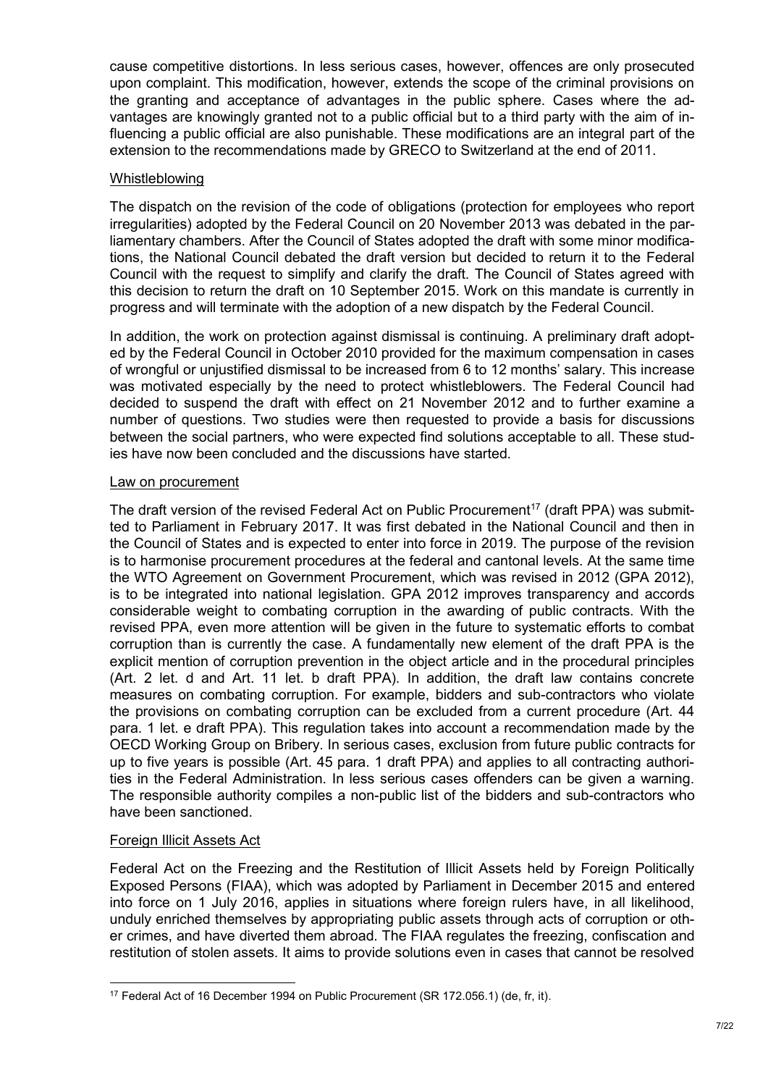cause competitive distortions. In less serious cases, however, offences are only prosecuted upon complaint. This modification, however, extends the scope of the criminal provisions on the granting and acceptance of advantages in the public sphere. Cases where the advantages are knowingly granted not to a public official but to a third party with the aim of influencing a public official are also punishable. These modifications are an integral part of the extension to the recommendations made by GRECO to Switzerland at the end of 2011.

#### Whistleblowing

The dispatch on the revision of the code of obligations (protection for employees who report irregularities) adopted by the Federal Council on 20 November 2013 was debated in the parliamentary chambers. After the Council of States adopted the draft with some minor modifications, the National Council debated the draft version but decided to return it to the Federal Council with the request to simplify and clarify the draft. The Council of States agreed with this decision to return the draft on 10 September 2015. Work on this mandate is currently in progress and will terminate with the adoption of a new dispatch by the Federal Council.

In addition, the work on protection against dismissal is continuing. A preliminary draft adopted by the Federal Council in October 2010 provided for the maximum compensation in cases of wrongful or unjustified dismissal to be increased from 6 to 12 months' salary. This increase was motivated especially by the need to protect whistleblowers. The Federal Council had decided to suspend the draft with effect on 21 November 2012 and to further examine a number of questions. Two studies were then requested to provide a basis for discussions between the social partners, who were expected find solutions acceptable to all. These studies have now been concluded and the discussions have started.

## Law on procurement

The draft version of the revised Federal Act on Public Procurement<sup>17</sup> (draft PPA) was submitted to Parliament in February 2017. It was first debated in the National Council and then in the Council of States and is expected to enter into force in 2019. The purpose of the revision is to harmonise procurement procedures at the federal and cantonal levels. At the same time the WTO Agreement on Government Procurement, which was revised in 2012 (GPA 2012), is to be integrated into national legislation. GPA 2012 improves transparency and accords considerable weight to combating corruption in the awarding of public contracts. With the revised PPA, even more attention will be given in the future to systematic efforts to combat corruption than is currently the case. A fundamentally new element of the draft PPA is the explicit mention of corruption prevention in the object article and in the procedural principles (Art. 2 let. d and Art. 11 let. b draft PPA). In addition, the draft law contains concrete measures on combating corruption. For example, bidders and sub-contractors who violate the provisions on combating corruption can be excluded from a current procedure (Art. 44 para. 1 let. e draft PPA). This regulation takes into account a recommendation made by the OECD Working Group on Bribery. In serious cases, exclusion from future public contracts for up to five years is possible (Art. 45 para. 1 draft PPA) and applies to all contracting authorities in the Federal Administration. In less serious cases offenders can be given a warning. The responsible authority compiles a non-public list of the bidders and sub-contractors who have been sanctioned.

## Foreign Illicit Assets Act

Federal Act on the Freezing and the Restitution of Illicit Assets held by Foreign Politically Exposed Persons (FIAA), which was adopted by Parliament in December 2015 and entered into force on 1 July 2016, applies in situations where foreign rulers have, in all likelihood, unduly enriched themselves by appropriating public assets through acts of corruption or other crimes, and have diverted them abroad. The FIAA regulates the freezing, confiscation and restitution of stolen assets. It aims to provide solutions even in cases that cannot be resolved

<sup>-</sup><sup>17</sup> Federal Act of 16 December 1994 on Public Procurement (SR 172.056.1) (de, fr, it).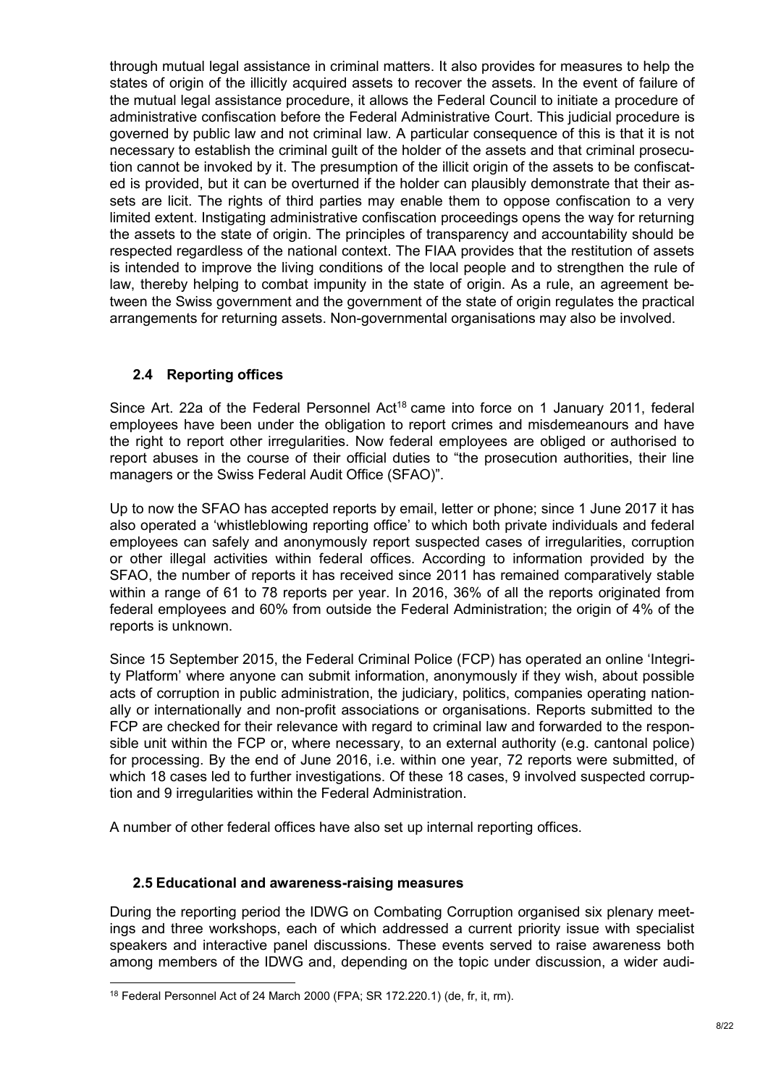through mutual legal assistance in criminal matters. It also provides for measures to help the states of origin of the illicitly acquired assets to recover the assets. In the event of failure of the mutual legal assistance procedure, it allows the Federal Council to initiate a procedure of administrative confiscation before the Federal Administrative Court. This judicial procedure is governed by public law and not criminal law. A particular consequence of this is that it is not necessary to establish the criminal guilt of the holder of the assets and that criminal prosecution cannot be invoked by it. The presumption of the illicit origin of the assets to be confiscated is provided, but it can be overturned if the holder can plausibly demonstrate that their assets are licit. The rights of third parties may enable them to oppose confiscation to a very limited extent. Instigating administrative confiscation proceedings opens the way for returning the assets to the state of origin. The principles of transparency and accountability should be respected regardless of the national context. The FIAA provides that the restitution of assets is intended to improve the living conditions of the local people and to strengthen the rule of law, thereby helping to combat impunity in the state of origin. As a rule, an agreement between the Swiss government and the government of the state of origin regulates the practical arrangements for returning assets. Non-governmental organisations may also be involved.

## <span id="page-7-0"></span>**2.4 Reporting offices**

Since Art. 22a of the Federal Personnel Act<sup>18</sup> came into force on 1 January 2011, federal employees have been under the obligation to report crimes and misdemeanours and have the right to report other irregularities. Now federal employees are obliged or authorised to report abuses in the course of their official duties to "the prosecution authorities, their line managers or the Swiss Federal Audit Office (SFAO)".

Up to now the SFAO has accepted reports by email, letter or phone; since 1 June 2017 it has also operated a 'whistleblowing reporting office' to which both private individuals and federal employees can safely and anonymously report suspected cases of irregularities, corruption or other illegal activities within federal offices. According to information provided by the SFAO, the number of reports it has received since 2011 has remained comparatively stable within a range of 61 to 78 reports per year. In 2016, 36% of all the reports originated from federal employees and 60% from outside the Federal Administration; the origin of 4% of the reports is unknown.

Since 15 September 2015, the Federal Criminal Police (FCP) has operated an online 'Integrity Platform' where anyone can submit information, anonymously if they wish, about possible acts of corruption in public administration, the judiciary, politics, companies operating nationally or internationally and non-profit associations or organisations. Reports submitted to the FCP are checked for their relevance with regard to criminal law and forwarded to the responsible unit within the FCP or, where necessary, to an external authority (e.g. cantonal police) for processing. By the end of June 2016, i.e. within one year, 72 reports were submitted, of which 18 cases led to further investigations. Of these 18 cases, 9 involved suspected corruption and 9 irregularities within the Federal Administration.

A number of other federal offices have also set up internal reporting offices.

#### <span id="page-7-1"></span>**2.5 Educational and awareness-raising measures**

During the reporting period the IDWG on Combating Corruption organised six plenary meetings and three workshops, each of which addressed a current priority issue with specialist speakers and interactive panel discussions. These events served to raise awareness both among members of the IDWG and, depending on the topic under discussion, a wider audi-

<sup>-</sup><sup>18</sup> Federal Personnel Act of 24 March 2000 (FPA; SR 172.220.1) (de, fr, it, rm).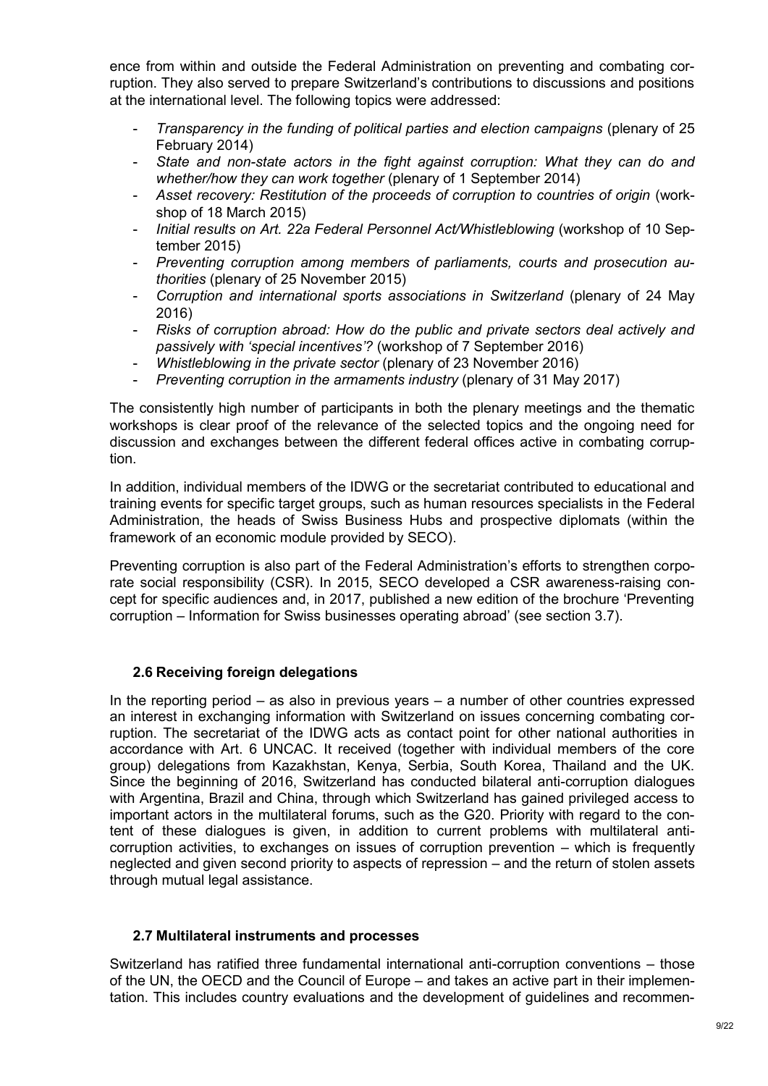ence from within and outside the Federal Administration on preventing and combating corruption. They also served to prepare Switzerland's contributions to discussions and positions at the international level. The following topics were addressed:

- *Transparency in the funding of political parties and election campaigns* (plenary of 25 February 2014)
- *State and non-state actors in the fight against corruption: What they can do and whether/how they can work together* (plenary of 1 September 2014)
- *Asset recovery: Restitution of the proceeds of corruption to countries of origin* (workshop of 18 March 2015)
- *Initial results on Art. 22a Federal Personnel Act/Whistleblowing* (workshop of 10 September 2015)
- *Preventing corruption among members of parliaments, courts and prosecution authorities* (plenary of 25 November 2015)
- *Corruption and international sports associations in Switzerland* (plenary of 24 May 2016)
- *Risks of corruption abroad: How do the public and private sectors deal actively and passively with 'special incentives'?* (workshop of 7 September 2016)
- *Whistleblowing in the private sector* (plenary of 23 November 2016)
- *Preventing corruption in the armaments industry* (plenary of 31 May 2017)

The consistently high number of participants in both the plenary meetings and the thematic workshops is clear proof of the relevance of the selected topics and the ongoing need for discussion and exchanges between the different federal offices active in combating corruption.

In addition, individual members of the IDWG or the secretariat contributed to educational and training events for specific target groups, such as human resources specialists in the Federal Administration, the heads of Swiss Business Hubs and prospective diplomats (within the framework of an economic module provided by SECO).

Preventing corruption is also part of the Federal Administration's efforts to strengthen corporate social responsibility (CSR). In 2015, SECO developed a CSR awareness-raising concept for specific audiences and, in 2017, published a new edition of the brochure 'Preventing corruption – Information for Swiss businesses operating abroad' (see section 3.7).

## <span id="page-8-0"></span>**2.6 Receiving foreign delegations**

In the reporting period – as also in previous years – a number of other countries expressed an interest in exchanging information with Switzerland on issues concerning combating corruption. The secretariat of the IDWG acts as contact point for other national authorities in accordance with Art. 6 UNCAC. It received (together with individual members of the core group) delegations from Kazakhstan, Kenya, Serbia, South Korea, Thailand and the UK. Since the beginning of 2016, Switzerland has conducted bilateral anti-corruption dialogues with Argentina, Brazil and China, through which Switzerland has gained privileged access to important actors in the multilateral forums, such as the G20. Priority with regard to the content of these dialogues is given, in addition to current problems with multilateral anticorruption activities, to exchanges on issues of corruption prevention – which is frequently neglected and given second priority to aspects of repression – and the return of stolen assets through mutual legal assistance.

#### <span id="page-8-1"></span>**2.7 Multilateral instruments and processes**

Switzerland has ratified three fundamental international anti-corruption conventions – those of the UN, the OECD and the Council of Europe – and takes an active part in their implementation. This includes country evaluations and the development of guidelines and recommen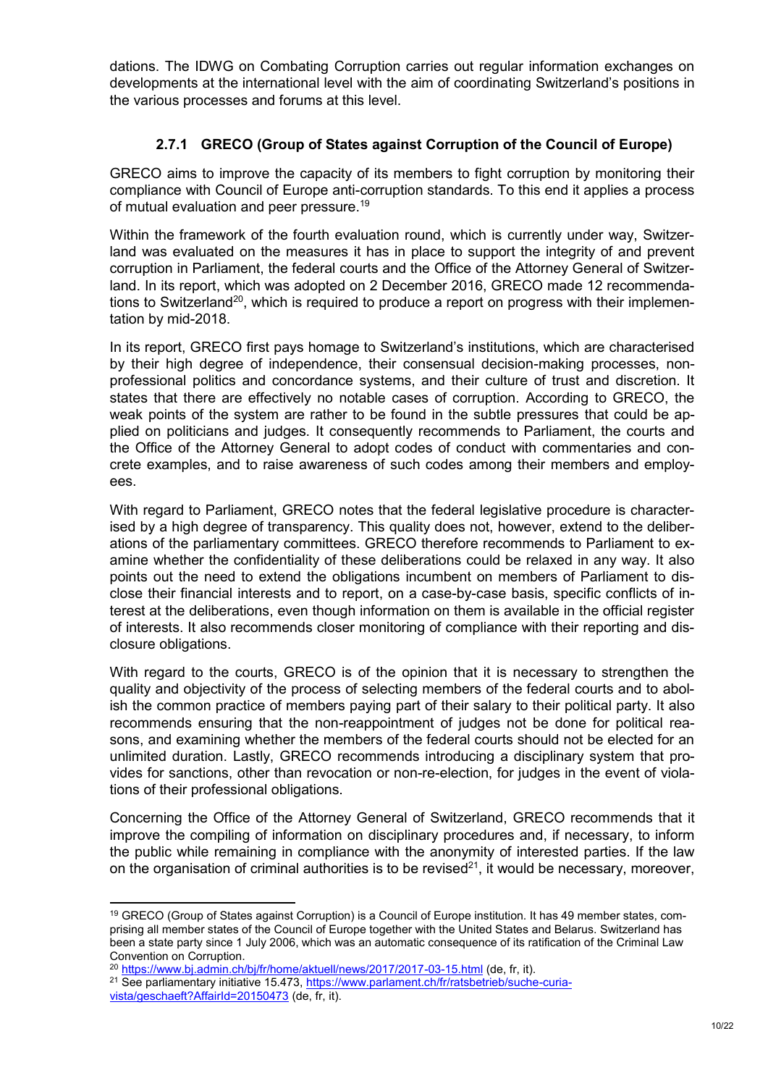dations. The IDWG on Combating Corruption carries out regular information exchanges on developments at the international level with the aim of coordinating Switzerland's positions in the various processes and forums at this level.

## **2.7.1 GRECO (Group of States against Corruption of the Council of Europe)**

<span id="page-9-0"></span>GRECO aims to improve the capacity of its members to fight corruption by monitoring their compliance with Council of Europe anti-corruption standards. To this end it applies a process of mutual evaluation and peer pressure.<sup>19</sup>

Within the framework of the fourth evaluation round, which is currently under way, Switzerland was evaluated on the measures it has in place to support the integrity of and prevent corruption in Parliament, the federal courts and the Office of the Attorney General of Switzerland. In its report, which was adopted on 2 December 2016, GRECO made 12 recommendations to Switzerland<sup>20</sup>, which is required to produce a report on progress with their implementation by mid-2018.

In its report, GRECO first pays homage to Switzerland's institutions, which are characterised by their high degree of independence, their consensual decision-making processes, nonprofessional politics and concordance systems, and their culture of trust and discretion. It states that there are effectively no notable cases of corruption. According to GRECO, the weak points of the system are rather to be found in the subtle pressures that could be applied on politicians and judges. It consequently recommends to Parliament, the courts and the Office of the Attorney General to adopt codes of conduct with commentaries and concrete examples, and to raise awareness of such codes among their members and employees.

With regard to Parliament, GRECO notes that the federal legislative procedure is characterised by a high degree of transparency. This quality does not, however, extend to the deliberations of the parliamentary committees. GRECO therefore recommends to Parliament to examine whether the confidentiality of these deliberations could be relaxed in any way. It also points out the need to extend the obligations incumbent on members of Parliament to disclose their financial interests and to report, on a case-by-case basis, specific conflicts of interest at the deliberations, even though information on them is available in the official register of interests. It also recommends closer monitoring of compliance with their reporting and disclosure obligations.

With regard to the courts, GRECO is of the opinion that it is necessary to strengthen the quality and objectivity of the process of selecting members of the federal courts and to abolish the common practice of members paying part of their salary to their political party. It also recommends ensuring that the non-reappointment of judges not be done for political reasons, and examining whether the members of the federal courts should not be elected for an unlimited duration. Lastly, GRECO recommends introducing a disciplinary system that provides for sanctions, other than revocation or non-re-election, for judges in the event of violations of their professional obligations.

Concerning the Office of the Attorney General of Switzerland, GRECO recommends that it improve the compiling of information on disciplinary procedures and, if necessary, to inform the public while remaining in compliance with the anonymity of interested parties. If the law on the organisation of criminal authorities is to be revised $^{21}$ , it would be necessary, moreover,

<sup>-</sup><sup>19</sup> GRECO (Group of States against Corruption) is a Council of Europe institution. It has 49 member states, comprising all member states of the Council of Europe together with the United States and Belarus. Switzerland has been a state party since 1 July 2006, which was an automatic consequence of its ratification of the Criminal Law Convention on Corruption.

<sup>&</sup>lt;sup>20</sup> [https://www.bj.admin.ch/bj/fr/home/aktuell/news/2017/2017-03-15.html](https://www.bj.admin.ch/bj/fr/home/aktuell/news/2017/2017-03-15.html%20(de,%20fr,%20it)) (de, fr, it).

<sup>21</sup> See parliamentary initiative 15.473, [https://www.parlament.ch/fr/ratsbetrieb/suche-curia-](https://www.parlament.ch/fr/ratsbetrieb/suche-curia-vista/geschaeft?AffairId=20150473)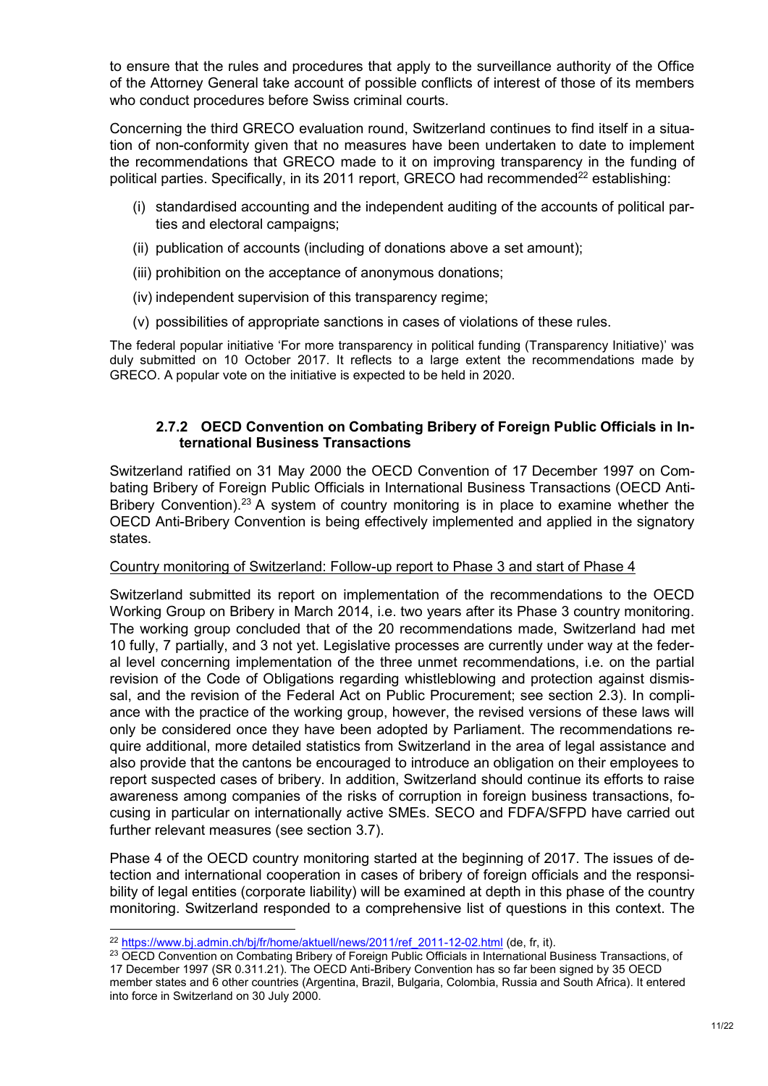to ensure that the rules and procedures that apply to the surveillance authority of the Office of the Attorney General take account of possible conflicts of interest of those of its members who conduct procedures before Swiss criminal courts.

Concerning the third GRECO evaluation round, Switzerland continues to find itself in a situation of non-conformity given that no measures have been undertaken to date to implement the recommendations that GRECO made to it on improving transparency in the funding of political parties. Specifically, in its 2011 report, GRECO had recommended<sup>22</sup> establishing:

- (i) standardised accounting and the independent auditing of the accounts of political parties and electoral campaigns;
- (ii) publication of accounts (including of donations above a set amount);
- (iii) prohibition on the acceptance of anonymous donations;
- (iv) independent supervision of this transparency regime;
- (v) possibilities of appropriate sanctions in cases of violations of these rules.

The federal popular initiative 'For more transparency in political funding (Transparency Initiative)' was duly submitted on 10 October 2017. It reflects to a large extent the recommendations made by GRECO. A popular vote on the initiative is expected to be held in 2020.

## **2.7.2 OECD Convention on Combating Bribery of Foreign Public Officials in International Business Transactions**

<span id="page-10-0"></span>Switzerland ratified on 31 May 2000 the OECD Convention of 17 December 1997 on Combating Bribery of Foreign Public Officials in International Business Transactions (OECD Anti-Bribery Convention).<sup>23</sup> A system of country monitoring is in place to examine whether the OECD Anti-Bribery Convention is being effectively implemented and applied in the signatory states.

#### Country monitoring of Switzerland: Follow-up report to Phase 3 and start of Phase 4

Switzerland submitted its report on implementation of the recommendations to the OECD Working Group on Bribery in March 2014, i.e. two years after its Phase 3 country monitoring. The working group concluded that of the 20 recommendations made, Switzerland had met 10 fully, 7 partially, and 3 not yet. Legislative processes are currently under way at the federal level concerning implementation of the three unmet recommendations, i.e. on the partial revision of the Code of Obligations regarding whistleblowing and protection against dismissal, and the revision of the Federal Act on Public Procurement; see section [2.3\)](#page-5-0). In compliance with the practice of the working group, however, the revised versions of these laws will only be considered once they have been adopted by Parliament. The recommendations require additional, more detailed statistics from Switzerland in the area of legal assistance and also provide that the cantons be encouraged to introduce an obligation on their employees to report suspected cases of bribery. In addition, Switzerland should continue its efforts to raise awareness among companies of the risks of corruption in foreign business transactions, focusing in particular on internationally active SMEs. SECO and FDFA/SFPD have carried out further relevant measures (see section [3.7\)](#page-16-1).

Phase 4 of the OECD country monitoring started at the beginning of 2017. The issues of detection and international cooperation in cases of bribery of foreign officials and the responsibility of legal entities (corporate liability) will be examined at depth in this phase of the country monitoring. Switzerland responded to a comprehensive list of questions in this context. The

<sup>22</sup> [https://www.bj.admin.ch/bj/fr/home/aktuell/news/2011/ref\\_2011-12-02.html](https://www.bj.admin.ch/bj/fr/home/aktuell/news/2011/ref_2011-12-02.html) (de, fr, it).

<sup>&</sup>lt;sup>23</sup> OECD Convention on Combating Bribery of Foreign Public Officials in International Business Transactions, of 17 December 1997 (SR 0.311.21). The OECD Anti-Bribery Convention has so far been signed by 35 OECD member states and 6 other countries (Argentina, Brazil, Bulgaria, Colombia, Russia and South Africa). It entered into force in Switzerland on 30 July 2000.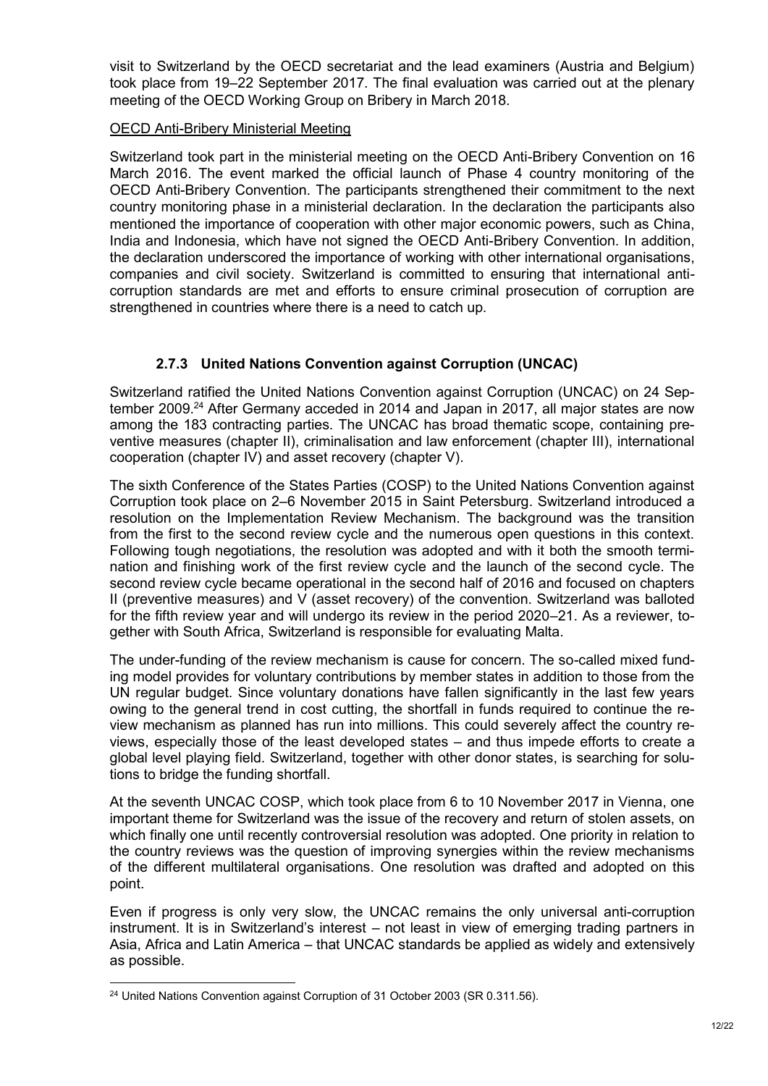visit to Switzerland by the OECD secretariat and the lead examiners (Austria and Belgium) took place from 19–22 September 2017. The final evaluation was carried out at the plenary meeting of the OECD Working Group on Bribery in March 2018.

#### OECD Anti-Bribery Ministerial Meeting

Switzerland took part in the ministerial meeting on the OECD Anti-Bribery Convention on 16 March 2016. The event marked the official launch of Phase 4 country monitoring of the OECD Anti-Bribery Convention. The participants strengthened their commitment to the next country monitoring phase in a ministerial declaration. In the declaration the participants also mentioned the importance of cooperation with other major economic powers, such as China, India and Indonesia, which have not signed the OECD Anti-Bribery Convention. In addition, the declaration underscored the importance of working with other international organisations, companies and civil society. Switzerland is committed to ensuring that international anticorruption standards are met and efforts to ensure criminal prosecution of corruption are strengthened in countries where there is a need to catch up.

## **2.7.3 United Nations Convention against Corruption (UNCAC)**

<span id="page-11-0"></span>Switzerland ratified the United Nations Convention against Corruption (UNCAC) on 24 September 2009.<sup>24</sup> After Germany acceded in 2014 and Japan in 2017, all major states are now among the 183 contracting parties. The UNCAC has broad thematic scope, containing preventive measures (chapter II), criminalisation and law enforcement (chapter III), international cooperation (chapter IV) and asset recovery (chapter V).

The sixth Conference of the States Parties (COSP) to the United Nations Convention against Corruption took place on 2–6 November 2015 in Saint Petersburg. Switzerland introduced a resolution on the Implementation Review Mechanism. The background was the transition from the first to the second review cycle and the numerous open questions in this context. Following tough negotiations, the resolution was adopted and with it both the smooth termination and finishing work of the first review cycle and the launch of the second cycle. The second review cycle became operational in the second half of 2016 and focused on chapters II (preventive measures) and V (asset recovery) of the convention. Switzerland was balloted for the fifth review year and will undergo its review in the period 2020–21. As a reviewer, together with South Africa, Switzerland is responsible for evaluating Malta.

The under-funding of the review mechanism is cause for concern. The so-called mixed funding model provides for voluntary contributions by member states in addition to those from the UN regular budget. Since voluntary donations have fallen significantly in the last few years owing to the general trend in cost cutting, the shortfall in funds required to continue the review mechanism as planned has run into millions. This could severely affect the country reviews, especially those of the least developed states – and thus impede efforts to create a global level playing field. Switzerland, together with other donor states, is searching for solutions to bridge the funding shortfall.

At the seventh UNCAC COSP, which took place from 6 to 10 November 2017 in Vienna, one important theme for Switzerland was the issue of the recovery and return of stolen assets, on which finally one until recently controversial resolution was adopted. One priority in relation to the country reviews was the question of improving synergies within the review mechanisms of the different multilateral organisations. One resolution was drafted and adopted on this point.

Even if progress is only very slow, the UNCAC remains the only universal anti-corruption instrument. It is in Switzerland's interest – not least in view of emerging trading partners in Asia, Africa and Latin America – that UNCAC standards be applied as widely and extensively as possible.

<sup>-</sup><sup>24</sup> United Nations Convention against Corruption of 31 October 2003 (SR 0.311.56).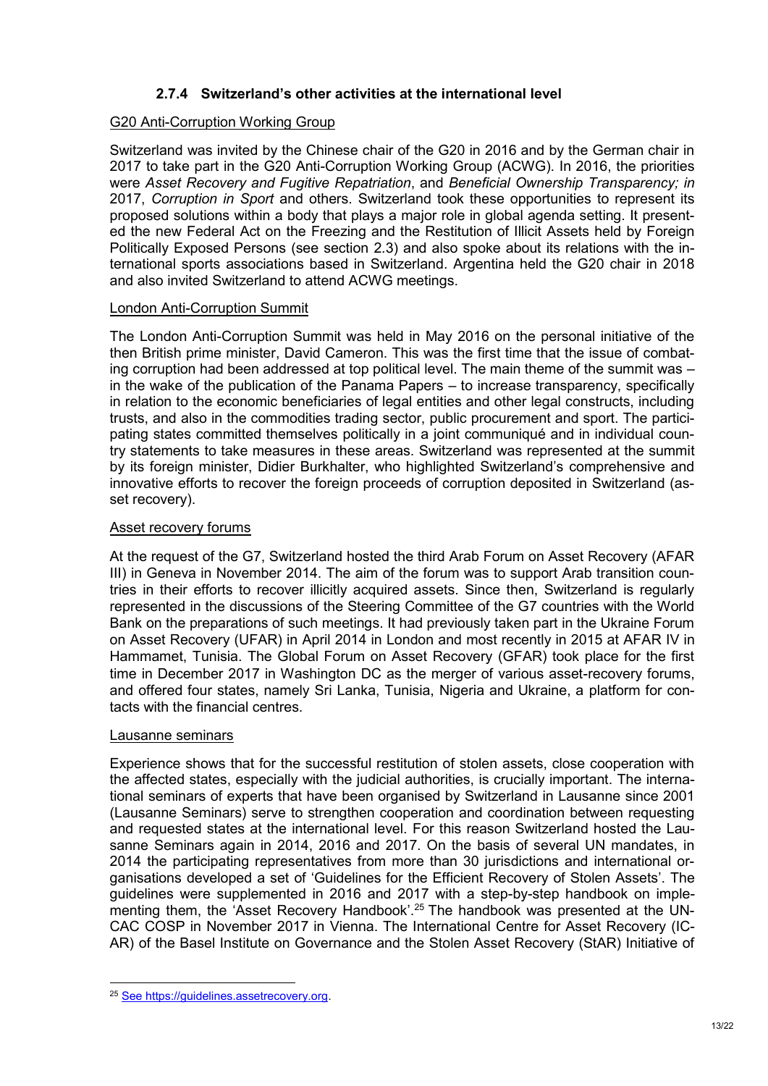## **2.7.4 Switzerland's other activities at the international level**

## <span id="page-12-0"></span>G20 Anti-Corruption Working Group

Switzerland was invited by the Chinese chair of the G20 in 2016 and by the German chair in 2017 to take part in the G20 Anti-Corruption Working Group (ACWG). In 2016, the priorities were *Asset Recovery and Fugitive Repatriation*, and *Beneficial Ownership Transparency; in*  2017, *Corruption in Sport* and others. Switzerland took these opportunities to represent its proposed solutions within a body that plays a major role in global agenda setting. It presented the new Federal Act on the Freezing and the Restitution of Illicit Assets held by Foreign Politically Exposed Persons (see section [2.3\)](#page-5-0) and also spoke about its relations with the international sports associations based in Switzerland. Argentina held the G20 chair in 2018 and also invited Switzerland to attend ACWG meetings.

#### London Anti-Corruption Summit

The London Anti-Corruption Summit was held in May 2016 on the personal initiative of the then British prime minister, David Cameron. This was the first time that the issue of combating corruption had been addressed at top political level. The main theme of the summit was – in the wake of the publication of the Panama Papers – to increase transparency, specifically in relation to the economic beneficiaries of legal entities and other legal constructs, including trusts, and also in the commodities trading sector, public procurement and sport. The participating states committed themselves politically in a joint communiqué and in individual country statements to take measures in these areas. Switzerland was represented at the summit by its foreign minister, Didier Burkhalter, who highlighted Switzerland's comprehensive and innovative efforts to recover the foreign proceeds of corruption deposited in Switzerland (asset recovery).

## Asset recovery forums

At the request of the G7, Switzerland hosted the third Arab Forum on Asset Recovery (AFAR III) in Geneva in November 2014. The aim of the forum was to support Arab transition countries in their efforts to recover illicitly acquired assets. Since then, Switzerland is regularly represented in the discussions of the Steering Committee of the G7 countries with the World Bank on the preparations of such meetings. It had previously taken part in the Ukraine Forum on Asset Recovery (UFAR) in April 2014 in London and most recently in 2015 at AFAR IV in Hammamet, Tunisia. The Global Forum on Asset Recovery (GFAR) took place for the first time in December 2017 in Washington DC as the merger of various asset-recovery forums, and offered four states, namely Sri Lanka, Tunisia, Nigeria and Ukraine, a platform for contacts with the financial centres.

#### Lausanne seminars

Experience shows that for the successful restitution of stolen assets, close cooperation with the affected states, especially with the judicial authorities, is crucially important. The international seminars of experts that have been organised by Switzerland in Lausanne since 2001 (Lausanne Seminars) serve to strengthen cooperation and coordination between requesting and requested states at the international level. For this reason Switzerland hosted the Lausanne Seminars again in 2014, 2016 and 2017. On the basis of several UN mandates, in 2014 the participating representatives from more than 30 jurisdictions and international organisations developed a set of 'Guidelines for the Efficient Recovery of Stolen Assets'. The guidelines were supplemented in 2016 and 2017 with a step-by-step handbook on implementing them, the 'Asset Recovery Handbook'.<sup>25</sup> The handbook was presented at the UN-CAC COSP in November 2017 in Vienna. The International Centre for Asset Recovery (IC-AR) of the Basel Institute on Governance and the Stolen Asset Recovery (StAR) Initiative of

<sup>-</sup><sup>25</sup> Se[e https://guidelines.assetrecovery.org.](https://guidelines.assetrecovery.org/)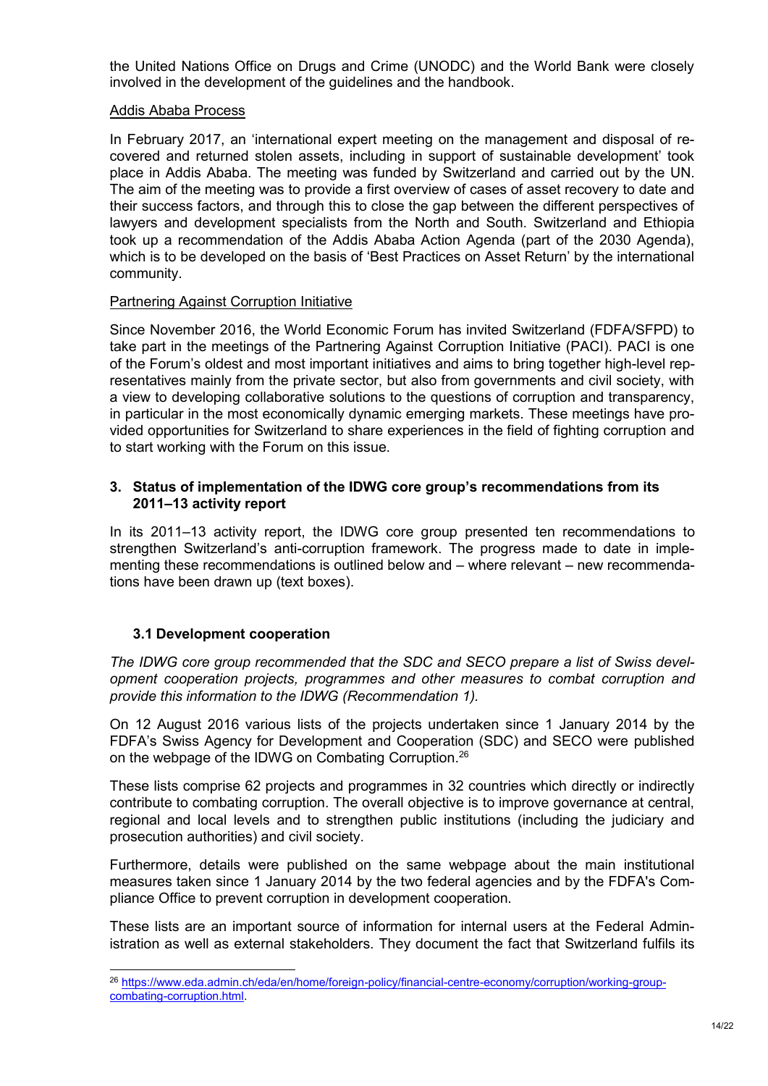the United Nations Office on Drugs and Crime (UNODC) and the World Bank were closely involved in the development of the guidelines and the handbook.

#### Addis Ababa Process

In February 2017, an 'international expert meeting on the management and disposal of recovered and returned stolen assets, including in support of sustainable development' took place in Addis Ababa. The meeting was funded by Switzerland and carried out by the UN. The aim of the meeting was to provide a first overview of cases of asset recovery to date and their success factors, and through this to close the gap between the different perspectives of lawyers and development specialists from the North and South. Switzerland and Ethiopia took up a recommendation of the Addis Ababa Action Agenda (part of the 2030 Agenda), which is to be developed on the basis of 'Best Practices on Asset Return' by the international community.

#### Partnering Against Corruption Initiative

Since November 2016, the World Economic Forum has invited Switzerland (FDFA/SFPD) to take part in the meetings of the Partnering Against Corruption Initiative (PACI). PACI is one of the Forum's oldest and most important initiatives and aims to bring together high-level representatives mainly from the private sector, but also from governments and civil society, with a view to developing collaborative solutions to the questions of corruption and transparency, in particular in the most economically dynamic emerging markets. These meetings have provided opportunities for Switzerland to share experiences in the field of fighting corruption and to start working with the Forum on this issue.

#### <span id="page-13-0"></span>**3. Status of implementation of the IDWG core group's recommendations from its 2011–13 activity report**

In its 2011–13 activity report, the IDWG core group presented ten recommendations to strengthen Switzerland's anti-corruption framework. The progress made to date in implementing these recommendations is outlined below and – where relevant – new recommendations have been drawn up (text boxes).

## <span id="page-13-1"></span>**3.1 Development cooperation**

1

*The IDWG core group recommended that the SDC and SECO prepare a list of Swiss development cooperation projects, programmes and other measures to combat corruption and provide this information to the IDWG (Recommendation 1).*

On 12 August 2016 various lists of the projects undertaken since 1 January 2014 by the FDFA's Swiss Agency for Development and Cooperation (SDC) and SECO were published on the webpage of the IDWG on Combating Corruption.<sup>26</sup>

These lists comprise 62 projects and programmes in 32 countries which directly or indirectly contribute to combating corruption. The overall objective is to improve governance at central, regional and local levels and to strengthen public institutions (including the judiciary and prosecution authorities) and civil society.

Furthermore, details were published on the same webpage about the main institutional measures taken since 1 January 2014 by the two federal agencies and by the FDFA's Compliance Office to prevent corruption in development cooperation.

These lists are an important source of information for internal users at the Federal Administration as well as external stakeholders. They document the fact that Switzerland fulfils its

<sup>26</sup> [https://www.eda.admin.ch/eda/en/home/foreign-policy/financial-centre-economy/corruption/working-group](https://www.eda.admin.ch/eda/en/home/foreign-policy/financial-centre-economy/corruption/working-group-combating-corruption.html)[combating-corruption.html.](https://www.eda.admin.ch/eda/en/home/foreign-policy/financial-centre-economy/corruption/working-group-combating-corruption.html)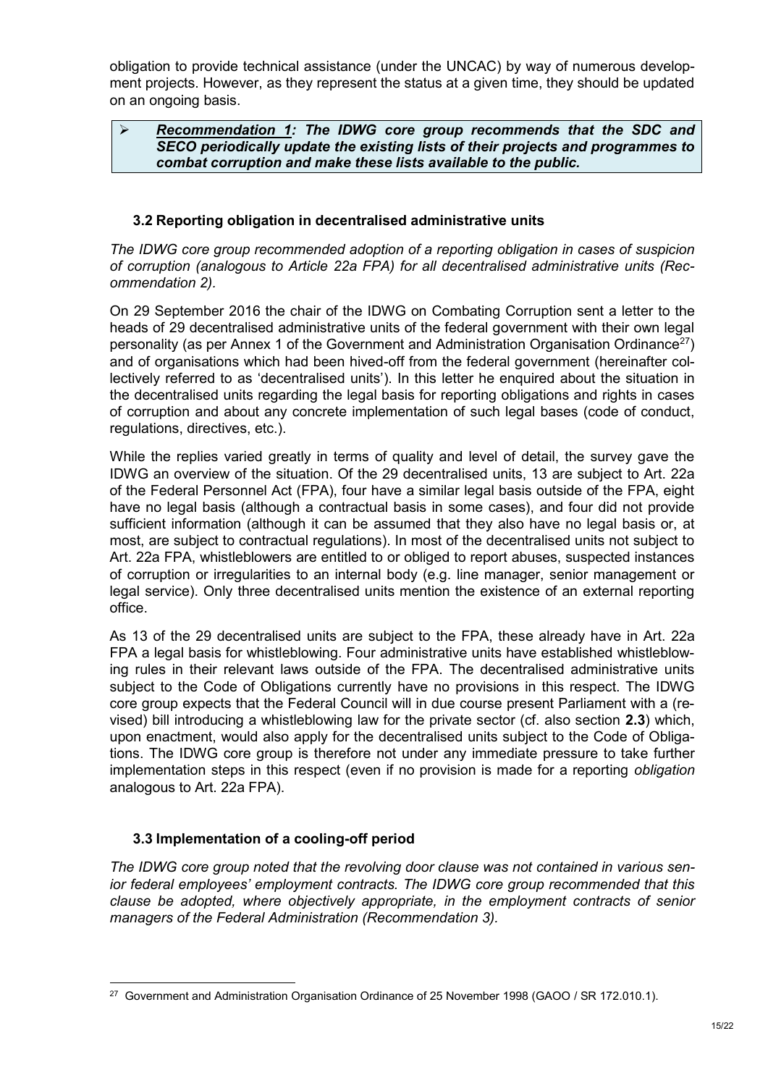obligation to provide technical assistance (under the UNCAC) by way of numerous development projects. However, as they represent the status at a given time, they should be updated on an ongoing basis.

#### *Recommendation 1: The IDWG core group recommends that the SDC and SECO periodically update the existing lists of their projects and programmes to combat corruption and make these lists available to the public.*

## <span id="page-14-0"></span>**3.2 Reporting obligation in decentralised administrative units**

*The IDWG core group recommended adoption of a reporting obligation in cases of suspicion of corruption (analogous to Article 22a FPA) for all decentralised administrative units (Recommendation 2).*

On 29 September 2016 the chair of the IDWG on Combating Corruption sent a letter to the heads of 29 decentralised administrative units of the federal government with their own legal personality (as per Annex 1 of the Government and Administration Organisation Ordinance<sup>27</sup>) and of organisations which had been hived-off from the federal government (hereinafter collectively referred to as 'decentralised units'). In this letter he enquired about the situation in the decentralised units regarding the legal basis for reporting obligations and rights in cases of corruption and about any concrete implementation of such legal bases (code of conduct, regulations, directives, etc.).

While the replies varied greatly in terms of quality and level of detail, the survey gave the IDWG an overview of the situation. Of the 29 decentralised units, 13 are subject to Art. 22a of the Federal Personnel Act (FPA), four have a similar legal basis outside of the FPA, eight have no legal basis (although a contractual basis in some cases), and four did not provide sufficient information (although it can be assumed that they also have no legal basis or, at most, are subject to contractual regulations). In most of the decentralised units not subject to Art. 22a FPA, whistleblowers are entitled to or obliged to report abuses, suspected instances of corruption or irregularities to an internal body (e.g. line manager, senior management or legal service). Only three decentralised units mention the existence of an external reporting office.

As 13 of the 29 decentralised units are subject to the FPA, these already have in Art. 22a FPA a legal basis for whistleblowing. Four administrative units have established whistleblowing rules in their relevant laws outside of the FPA. The decentralised administrative units subject to the Code of Obligations currently have no provisions in this respect. The IDWG core group expects that the Federal Council will in due course present Parliament with a (revised) bill introducing a whistleblowing law for the private sector (cf. also section **[2.3](#page-5-0)**) which, upon enactment, would also apply for the decentralised units subject to the Code of Obligations. The IDWG core group is therefore not under any immediate pressure to take further implementation steps in this respect (even if no provision is made for a reporting *obligation* analogous to Art. 22a FPA).

## <span id="page-14-1"></span>**3.3 Implementation of a cooling-off period**

*The IDWG core group noted that the revolving door clause was not contained in various senior federal employees' employment contracts. The IDWG core group recommended that this clause be adopted, where objectively appropriate, in the employment contracts of senior managers of the Federal Administration (Recommendation 3).* 

<sup>-</sup><sup>27</sup> Government and Administration Organisation Ordinance of 25 November 1998 (GAOO / SR 172.010.1).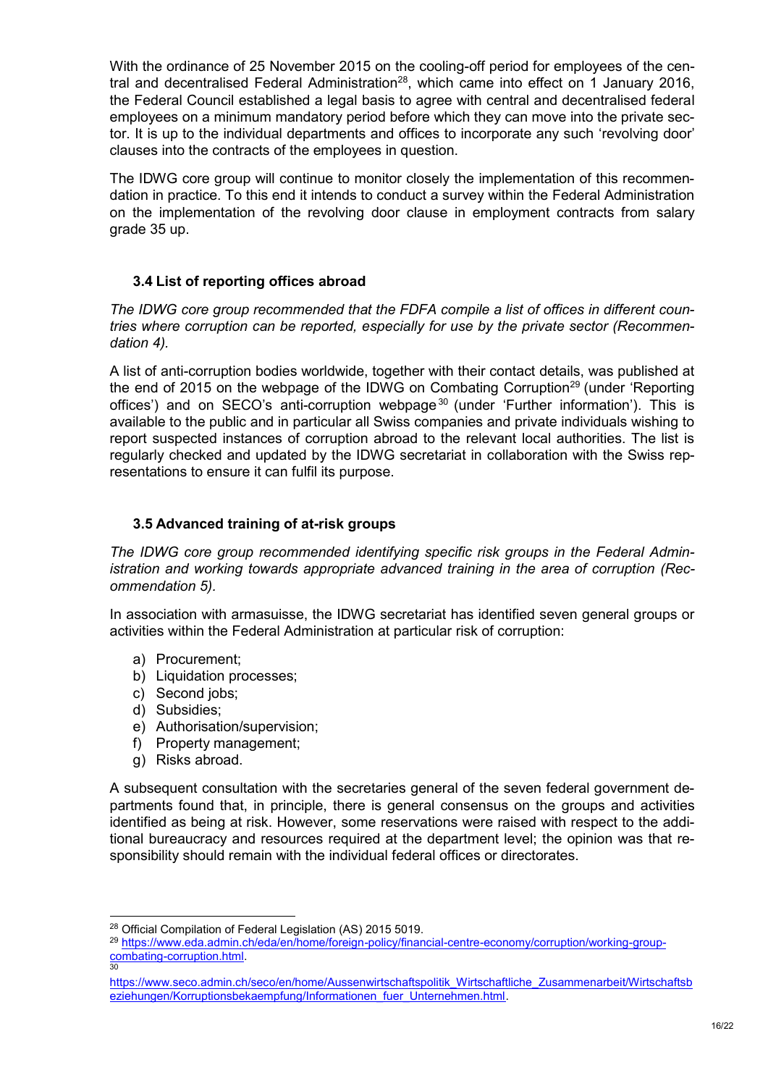With the ordinance of 25 November 2015 on the cooling-off period for employees of the central and decentralised Federal Administration<sup>28</sup>, which came into effect on 1 January 2016, the Federal Council established a legal basis to agree with central and decentralised federal employees on a minimum mandatory period before which they can move into the private sector. It is up to the individual departments and offices to incorporate any such 'revolving door' clauses into the contracts of the employees in question.

The IDWG core group will continue to monitor closely the implementation of this recommendation in practice. To this end it intends to conduct a survey within the Federal Administration on the implementation of the revolving door clause in employment contracts from salary grade 35 up.

## <span id="page-15-0"></span>**3.4 List of reporting offices abroad**

*The IDWG core group recommended that the FDFA compile a list of offices in different countries where corruption can be reported, especially for use by the private sector (Recommendation 4).*

A list of anti-corruption bodies worldwide, together with their contact details, was published at the end of 2015 on the webpage of the IDWG on Combating Corruption<sup>29</sup> (under 'Reporting offices') and on SECO's anti-corruption webpage<sup>30</sup> (under 'Further information'). This is available to the public and in particular all Swiss companies and private individuals wishing to report suspected instances of corruption abroad to the relevant local authorities. The list is regularly checked and updated by the IDWG secretariat in collaboration with the Swiss representations to ensure it can fulfil its purpose.

## <span id="page-15-1"></span>**3.5 Advanced training of at-risk groups**

*The IDWG core group recommended identifying specific risk groups in the Federal Administration and working towards appropriate advanced training in the area of corruption (Recommendation 5).*

In association with armasuisse, the IDWG secretariat has identified seven general groups or activities within the Federal Administration at particular risk of corruption:

- a) Procurement;
- b) Liquidation processes;
- c) Second jobs;
- d) Subsidies;
- e) Authorisation/supervision;
- f) Property management;
- g) Risks abroad.

A subsequent consultation with the secretaries general of the seven federal government departments found that, in principle, there is general consensus on the groups and activities identified as being at risk. However, some reservations were raised with respect to the additional bureaucracy and resources required at the department level; the opinion was that responsibility should remain with the individual federal offices or directorates.

<sup>1</sup> <sup>28</sup> Official Compilation of Federal Legislation (AS) 2015 5019.

<sup>29</sup> [https://www.eda.admin.ch/eda/en/home/foreign-policy/financial-centre-economy/corruption/working-group](https://www.eda.admin.ch/eda/en/home/foreign-policy/financial-centre-economy/corruption/working-group-combating-corruption.html)[combating-corruption.html.](https://www.eda.admin.ch/eda/en/home/foreign-policy/financial-centre-economy/corruption/working-group-combating-corruption.html) 30

[https://www.seco.admin.ch/seco/en/home/Aussenwirtschaftspolitik\\_Wirtschaftliche\\_Zusammenarbeit/Wirtschaftsb](https://www.seco.admin.ch/seco/en/home/Aussenwirtschaftspolitik_Wirtschaftliche_Zusammenarbeit/Wirtschaftsbeziehungen/Korruptionsbekaempfung/Informationen_fuer_Unternehmen.html) eziehungen/Korruptionsbekaempfung/Informationen fuer\_Unternehmen.html.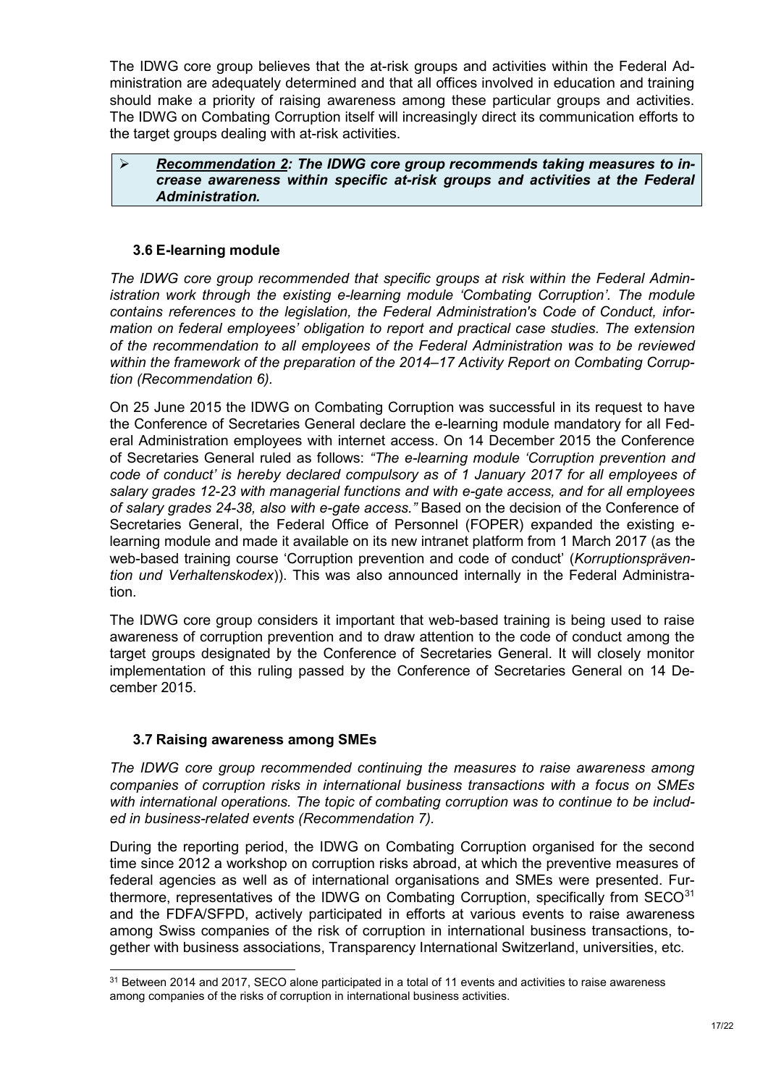The IDWG core group believes that the at-risk groups and activities within the Federal Administration are adequately determined and that all offices involved in education and training should make a priority of raising awareness among these particular groups and activities. The IDWG on Combating Corruption itself will increasingly direct its communication efforts to the target groups dealing with at-risk activities.

#### *Recommendation 2: The IDWG core group recommends taking measures to increase awareness within specific at-risk groups and activities at the Federal Administration.*

## <span id="page-16-0"></span>**3.6 E-learning module**

*The IDWG core group recommended that specific groups at risk within the Federal Administration work through the existing e-learning module 'Combating Corruption'. The module contains references to the legislation, the Federal Administration's Code of Conduct, information on federal employees' obligation to report and practical case studies. The extension of the recommendation to all employees of the Federal Administration was to be reviewed within the framework of the preparation of the 2014–17 Activity Report on Combating Corruption (Recommendation 6).*

On 25 June 2015 the IDWG on Combating Corruption was successful in its request to have the Conference of Secretaries General declare the e-learning module mandatory for all Federal Administration employees with internet access. On 14 December 2015 the Conference of Secretaries General ruled as follows: *"The e-learning module 'Corruption prevention and code of conduct' is hereby declared compulsory as of 1 January 2017 for all employees of salary grades 12-23 with managerial functions and with e-gate access, and for all employees of salary grades 24-38, also with e-gate access."* Based on the decision of the Conference of Secretaries General, the Federal Office of Personnel (FOPER) expanded the existing elearning module and made it available on its new intranet platform from 1 March 2017 (as the web-based training course 'Corruption prevention and code of conduct' (*Korruptionsprävention und Verhaltenskodex*)). This was also announced internally in the Federal Administration.

The IDWG core group considers it important that web-based training is being used to raise awareness of corruption prevention and to draw attention to the code of conduct among the target groups designated by the Conference of Secretaries General. It will closely monitor implementation of this ruling passed by the Conference of Secretaries General on 14 December 2015.

## <span id="page-16-1"></span>**3.7 Raising awareness among SMEs**

1

*The IDWG core group recommended continuing the measures to raise awareness among companies of corruption risks in international business transactions with a focus on SMEs with international operations. The topic of combating corruption was to continue to be included in business-related events (Recommendation 7).*

During the reporting period, the IDWG on Combating Corruption organised for the second time since 2012 a workshop on corruption risks abroad, at which the preventive measures of federal agencies as well as of international organisations and SMEs were presented. Furthermore, representatives of the IDWG on Combating Corruption, specifically from  $SECO<sup>31</sup>$ and the FDFA/SFPD, actively participated in efforts at various events to raise awareness among Swiss companies of the risk of corruption in international business transactions, together with business associations, Transparency International Switzerland, universities, etc.

 $^\mathrm{31}$  Between 2014 and 2017, SECO alone participated in a total of 11 events and activities to raise awareness among companies of the risks of corruption in international business activities.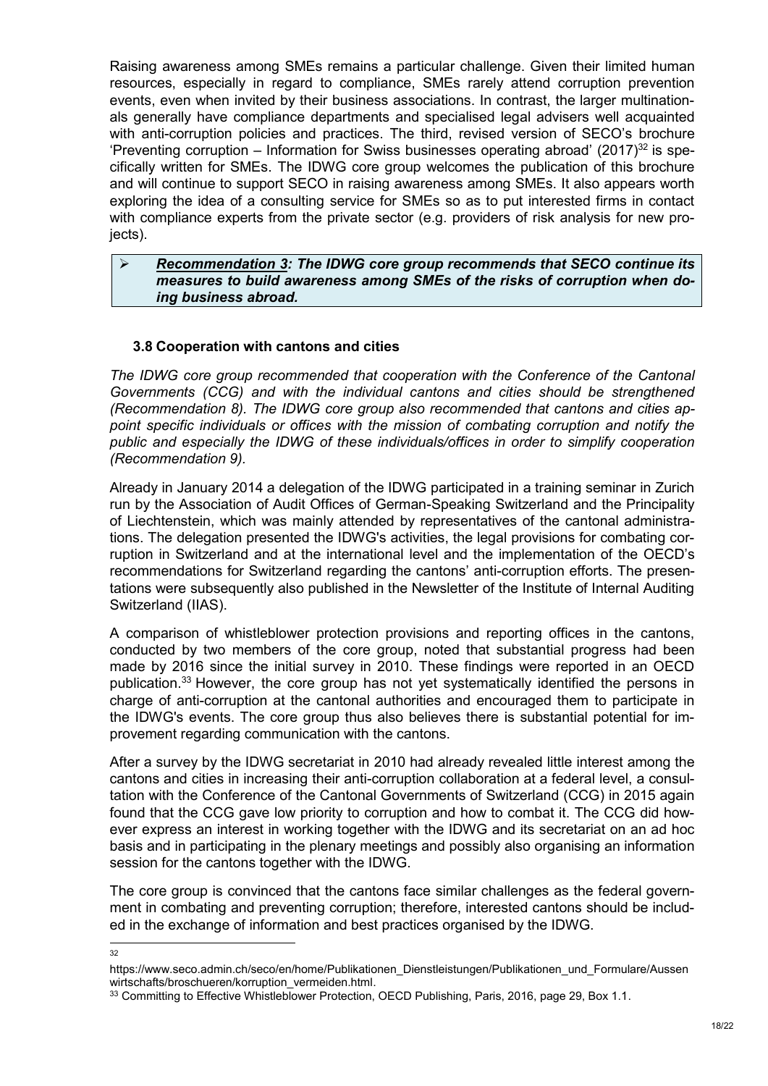Raising awareness among SMEs remains a particular challenge. Given their limited human resources, especially in regard to compliance, SMEs rarely attend corruption prevention events, even when invited by their business associations. In contrast, the larger multinationals generally have compliance departments and specialised legal advisers well acquainted with anti-corruption policies and practices. The third, revised version of SECO's brochure 'Preventing corruption – Information for Swiss businesses operating abroad'  $(2017)^{32}$  is specifically written for SMEs. The IDWG core group welcomes the publication of this brochure and will continue to support SECO in raising awareness among SMEs. It also appears worth exploring the idea of a consulting service for SMEs so as to put interested firms in contact with compliance experts from the private sector (e.g. providers of risk analysis for new projects).

#### *Recommendation 3: The IDWG core group recommends that SECO continue its measures to build awareness among SMEs of the risks of corruption when doing business abroad.*

## <span id="page-17-0"></span>**3.8 Cooperation with cantons and cities**

*The IDWG core group recommended that cooperation with the Conference of the Cantonal Governments (CCG) and with the individual cantons and cities should be strengthened (Recommendation 8). The IDWG core group also recommended that cantons and cities appoint specific individuals or offices with the mission of combating corruption and notify the public and especially the IDWG of these individuals/offices in order to simplify cooperation (Recommendation 9).*

Already in January 2014 a delegation of the IDWG participated in a training seminar in Zurich run by the Association of Audit Offices of German-Speaking Switzerland and the Principality of Liechtenstein, which was mainly attended by representatives of the cantonal administrations. The delegation presented the IDWG's activities, the legal provisions for combating corruption in Switzerland and at the international level and the implementation of the OECD's recommendations for Switzerland regarding the cantons' anti-corruption efforts. The presentations were subsequently also published in the Newsletter of the Institute of Internal Auditing Switzerland (IIAS).

A comparison of whistleblower protection provisions and reporting offices in the cantons, conducted by two members of the core group, noted that substantial progress had been made by 2016 since the initial survey in 2010. These findings were reported in an OECD publication.<sup>33</sup> However, the core group has not yet systematically identified the persons in charge of anti-corruption at the cantonal authorities and encouraged them to participate in the IDWG's events. The core group thus also believes there is substantial potential for improvement regarding communication with the cantons.

After a survey by the IDWG secretariat in 2010 had already revealed little interest among the cantons and cities in increasing their anti-corruption collaboration at a federal level, a consultation with the Conference of the Cantonal Governments of Switzerland (CCG) in 2015 again found that the CCG gave low priority to corruption and how to combat it. The CCG did however express an interest in working together with the IDWG and its secretariat on an ad hoc basis and in participating in the plenary meetings and possibly also organising an information session for the cantons together with the IDWG.

The core group is convinced that the cantons face similar challenges as the federal government in combating and preventing corruption; therefore, interested cantons should be included in the exchange of information and best practices organised by the IDWG.

 $\frac{1}{32}$ 

https://www.seco.admin.ch/seco/en/home/Publikationen\_Dienstleistungen/Publikationen\_und\_Formulare/Aussen wirtschafts/broschueren/korruption\_vermeiden.html.

<sup>33</sup> Committing to Effective Whistleblower Protection, OECD Publishing, Paris, 2016, page 29, Box 1.1.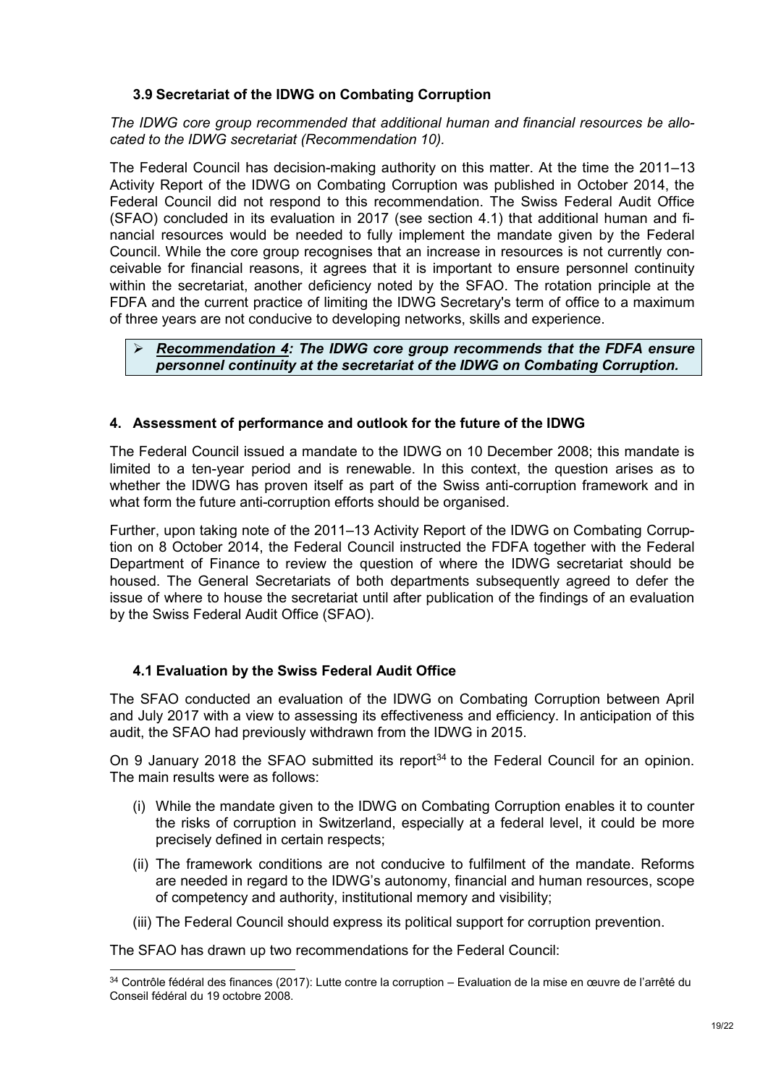## <span id="page-18-0"></span>**3.9 Secretariat of the IDWG on Combating Corruption**

*The IDWG core group recommended that additional human and financial resources be allocated to the IDWG secretariat (Recommendation 10).*

The Federal Council has decision-making authority on this matter. At the time the 2011–13 Activity Report of the IDWG on Combating Corruption was published in October 2014, the Federal Council did not respond to this recommendation. The Swiss Federal Audit Office (SFAO) concluded in its evaluation in 2017 (see section 4.1) that additional human and financial resources would be needed to fully implement the mandate given by the Federal Council. While the core group recognises that an increase in resources is not currently conceivable for financial reasons, it agrees that it is important to ensure personnel continuity within the secretariat, another deficiency noted by the SFAO. The rotation principle at the FDFA and the current practice of limiting the IDWG Secretary's term of office to a maximum of three years are not conducive to developing networks, skills and experience.

#### *Recommendation 4: The IDWG core group recommends that the FDFA ensure personnel continuity at the secretariat of the IDWG on Combating Corruption.*

## <span id="page-18-1"></span>**4. Assessment of performance and outlook for the future of the IDWG**

The Federal Council issued a mandate to the IDWG on 10 December 2008; this mandate is limited to a ten-year period and is renewable. In this context, the question arises as to whether the IDWG has proven itself as part of the Swiss anti-corruption framework and in what form the future anti-corruption efforts should be organised.

Further, upon taking note of the 2011–13 Activity Report of the IDWG on Combating Corruption on 8 October 2014, the Federal Council instructed the FDFA together with the Federal Department of Finance to review the question of where the IDWG secretariat should be housed. The General Secretariats of both departments subsequently agreed to defer the issue of where to house the secretariat until after publication of the findings of an evaluation by the Swiss Federal Audit Office (SFAO).

#### <span id="page-18-2"></span>**4.1 Evaluation by the Swiss Federal Audit Office**

The SFAO conducted an evaluation of the IDWG on Combating Corruption between April and July 2017 with a view to assessing its effectiveness and efficiency. In anticipation of this audit, the SFAO had previously withdrawn from the IDWG in 2015.

On 9 January 2018 the SFAO submitted its report<sup>34</sup> to the Federal Council for an opinion. The main results were as follows:

- (i) While the mandate given to the IDWG on Combating Corruption enables it to counter the risks of corruption in Switzerland, especially at a federal level, it could be more precisely defined in certain respects;
- (ii) The framework conditions are not conducive to fulfilment of the mandate. Reforms are needed in regard to the IDWG's autonomy, financial and human resources, scope of competency and authority, institutional memory and visibility;
- (iii) The Federal Council should express its political support for corruption prevention.

The SFAO has drawn up two recommendations for the Federal Council:

<sup>1</sup> <sup>34</sup> Contrôle fédéral des finances (2017): Lutte contre la corruption – Evaluation de la mise en œuvre de l'arrêté du Conseil fédéral du 19 octobre 2008.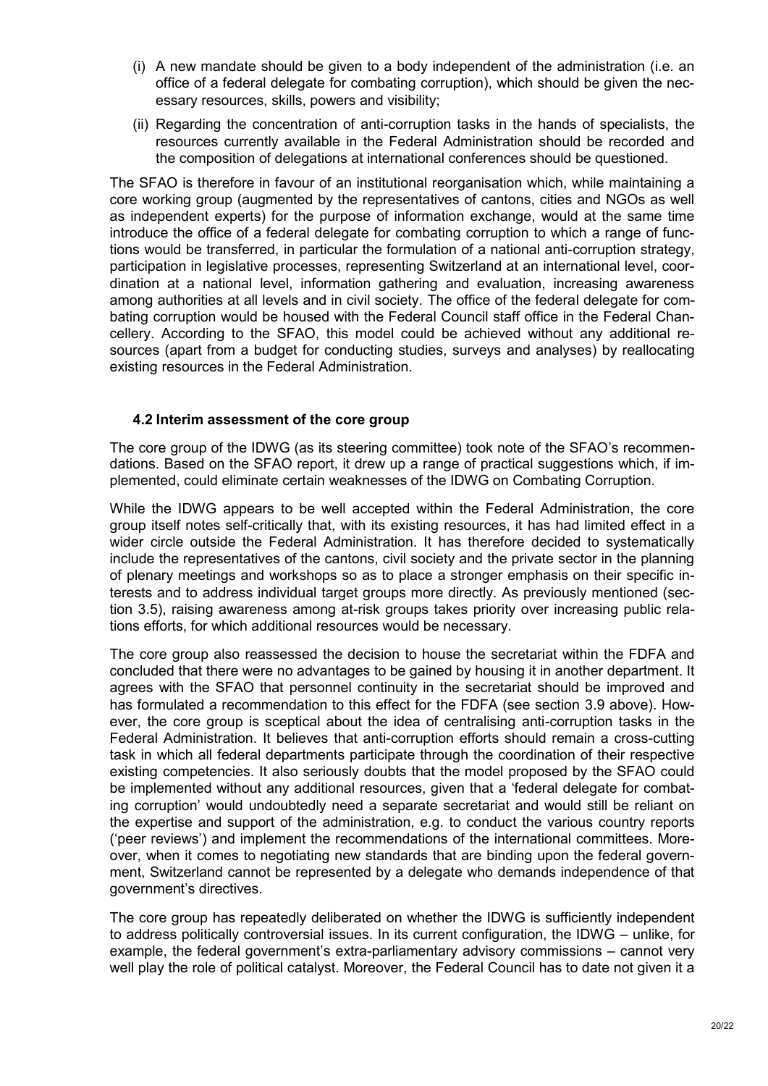- (i) A new mandate should be given to a body independent of the administration (i.e. an office of a federal delegate for combating corruption), which should be given the necessary resources, skills, powers and visibility;
- (ii) Regarding the concentration of anti-corruption tasks in the hands of specialists, the resources currently available in the Federal Administration should be recorded and the composition of delegations at international conferences should be questioned.

The SFAO is therefore in favour of an institutional reorganisation which, while maintaining a core working group (augmented by the representatives of cantons, cities and NGOs as well as independent experts) for the purpose of information exchange, would at the same time introduce the office of a federal delegate for combating corruption to which a range of functions would be transferred, in particular the formulation of a national anti-corruption strategy, participation in legislative processes, representing Switzerland at an international level, coordination at a national level, information gathering and evaluation, increasing awareness among authorities at all levels and in civil society. The office of the federal delegate for combating corruption would be housed with the Federal Council staff office in the Federal Chancellery. According to the SFAO, this model could be achieved without any additional resources (apart from a budget for conducting studies, surveys and analyses) by reallocating existing resources in the Federal Administration.

## <span id="page-19-0"></span>**4.2 Interim assessment of the core group**

The core group of the IDWG (as its steering committee) took note of the SFAO's recommendations. Based on the SFAO report, it drew up a range of practical suggestions which, if implemented, could eliminate certain weaknesses of the IDWG on Combating Corruption.

While the IDWG appears to be well accepted within the Federal Administration, the core group itself notes self-critically that, with its existing resources, it has had limited effect in a wider circle outside the Federal Administration. It has therefore decided to systematically include the representatives of the cantons, civil society and the private sector in the planning of plenary meetings and workshops so as to place a stronger emphasis on their specific interests and to address individual target groups more directly. As previously mentioned (section 3.5), raising awareness among at-risk groups takes priority over increasing public relations efforts, for which additional resources would be necessary.

The core group also reassessed the decision to house the secretariat within the FDFA and concluded that there were no advantages to be gained by housing it in another department. It agrees with the SFAO that personnel continuity in the secretariat should be improved and has formulated a recommendation to this effect for the FDFA (see section [3.9](#page-18-0) above). However, the core group is sceptical about the idea of centralising anti-corruption tasks in the Federal Administration. It believes that anti-corruption efforts should remain a cross-cutting task in which all federal departments participate through the coordination of their respective existing competencies. It also seriously doubts that the model proposed by the SFAO could be implemented without any additional resources, given that a 'federal delegate for combating corruption' would undoubtedly need a separate secretariat and would still be reliant on the expertise and support of the administration, e.g. to conduct the various country reports ('peer reviews') and implement the recommendations of the international committees. Moreover, when it comes to negotiating new standards that are binding upon the federal government, Switzerland cannot be represented by a delegate who demands independence of that government's directives.

The core group has repeatedly deliberated on whether the IDWG is sufficiently independent to address politically controversial issues. In its current configuration, the IDWG – unlike, for example, the federal government's extra-parliamentary advisory commissions – cannot very well play the role of political catalyst. Moreover, the Federal Council has to date not given it a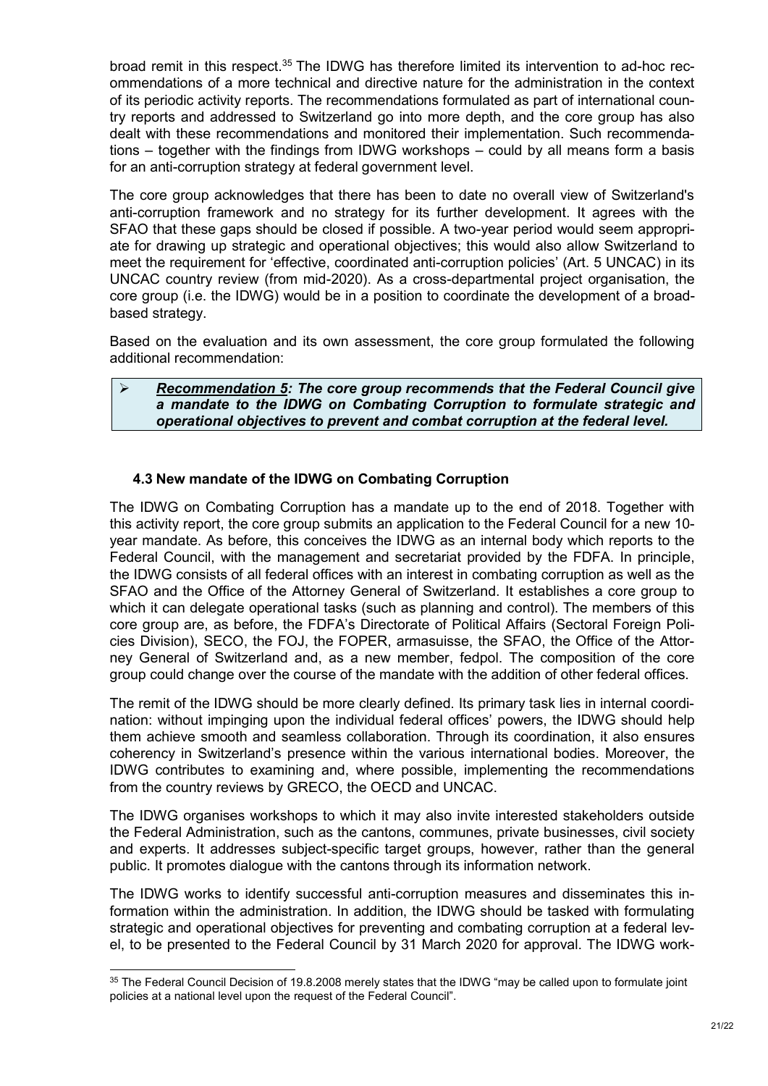broad remit in this respect.<sup>35</sup> The IDWG has therefore limited its intervention to ad-hoc recommendations of a more technical and directive nature for the administration in the context of its periodic activity reports. The recommendations formulated as part of international country reports and addressed to Switzerland go into more depth, and the core group has also dealt with these recommendations and monitored their implementation. Such recommendations – together with the findings from IDWG workshops – could by all means form a basis for an anti-corruption strategy at federal government level.

The core group acknowledges that there has been to date no overall view of Switzerland's anti-corruption framework and no strategy for its further development. It agrees with the SFAO that these gaps should be closed if possible. A two-year period would seem appropriate for drawing up strategic and operational objectives; this would also allow Switzerland to meet the requirement for 'effective, coordinated anti-corruption policies' (Art. 5 UNCAC) in its UNCAC country review (from mid-2020). As a cross-departmental project organisation, the core group (i.e. the IDWG) would be in a position to coordinate the development of a broadbased strategy.

Based on the evaluation and its own assessment, the core group formulated the following additional recommendation:

 *Recommendation 5: The core group recommends that the Federal Council give a mandate to the IDWG on Combating Corruption to formulate strategic and operational objectives to prevent and combat corruption at the federal level.*

## <span id="page-20-0"></span>**4.3 New mandate of the IDWG on Combating Corruption**

The IDWG on Combating Corruption has a mandate up to the end of 2018. Together with this activity report, the core group submits an application to the Federal Council for a new 10 year mandate. As before, this conceives the IDWG as an internal body which reports to the Federal Council, with the management and secretariat provided by the FDFA. In principle, the IDWG consists of all federal offices with an interest in combating corruption as well as the SFAO and the Office of the Attorney General of Switzerland. It establishes a core group to which it can delegate operational tasks (such as planning and control). The members of this core group are, as before, the FDFA's Directorate of Political Affairs (Sectoral Foreign Policies Division), SECO, the FOJ, the FOPER, armasuisse, the SFAO, the Office of the Attorney General of Switzerland and, as a new member, fedpol. The composition of the core group could change over the course of the mandate with the addition of other federal offices.

The remit of the IDWG should be more clearly defined. Its primary task lies in internal coordination: without impinging upon the individual federal offices' powers, the IDWG should help them achieve smooth and seamless collaboration. Through its coordination, it also ensures coherency in Switzerland's presence within the various international bodies. Moreover, the IDWG contributes to examining and, where possible, implementing the recommendations from the country reviews by GRECO, the OECD and UNCAC.

The IDWG organises workshops to which it may also invite interested stakeholders outside the Federal Administration, such as the cantons, communes, private businesses, civil society and experts. It addresses subject-specific target groups, however, rather than the general public. It promotes dialogue with the cantons through its information network.

The IDWG works to identify successful anti-corruption measures and disseminates this information within the administration. In addition, the IDWG should be tasked with formulating strategic and operational objectives for preventing and combating corruption at a federal level, to be presented to the Federal Council by 31 March 2020 for approval. The IDWG work-

<sup>1</sup>  $35$  The Federal Council Decision of 19.8.2008 merely states that the IDWG "may be called upon to formulate joint policies at a national level upon the request of the Federal Council".